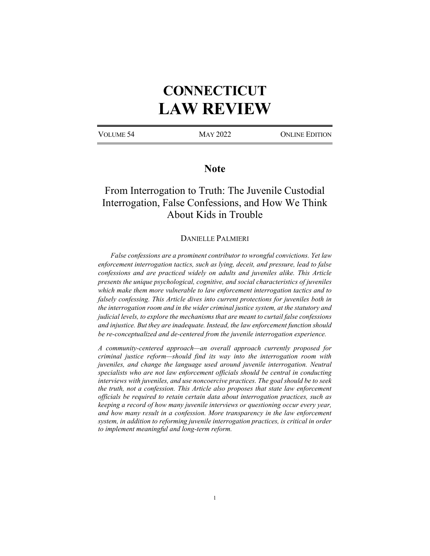# **CONNECTICUT LAW REVIEW**

VOLUME 54 MAY 2022 ONLINE EDITION

# **Note**

# From Interrogation to Truth: The Juvenile Custodial Interrogation, False Confessions, and How We Think About Kids in Trouble

# DANIELLE PALMIERI

*False confessions are a prominent contributor to wrongful convictions. Yet law enforcement interrogation tactics, such as lying, deceit, and pressure, lead to false confessions and are practiced widely on adults and juveniles alike. This Article presents the unique psychological, cognitive, and social characteristics of juveniles which make them more vulnerable to law enforcement interrogation tactics and to falsely confessing. This Article dives into current protections for juveniles both in the interrogation room and in the wider criminal justice system, at the statutory and judicial levels, to explore the mechanisms that are meant to curtail false confessions and injustice. But they are inadequate. Instead, the law enforcement function should be re-conceptualized and de-centered from the juvenile interrogation experience.* 

*A community-centered approach—an overall approach currently proposed for criminal justice reform—should find its way into the interrogation room with juveniles, and change the language used around juvenile interrogation. Neutral specialists who are not law enforcement officials should be central in conducting interviews with juveniles, and use noncoercive practices. The goal should be to seek the truth, not a confession. This Article also proposes that state law enforcement officials be required to retain certain data about interrogation practices, such as keeping a record of how many juvenile interviews or questioning occur every year, and how many result in a confession. More transparency in the law enforcement system, in addition to reforming juvenile interrogation practices, is critical in order to implement meaningful and long-term reform.*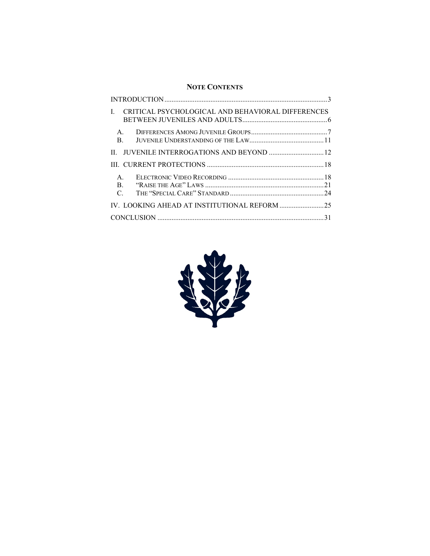# **NOTE CONTENTS**

| CRITICAL PSYCHOLOGICAL AND BEHAVIORAL DIFFERENCES<br>$\mathbf{I}$ |  |
|-------------------------------------------------------------------|--|
| $\mathsf{A}$ .<br>$\mathbf{B}$ .                                  |  |
| JUVENILE INTERROGATIONS AND BEYOND  12<br>$\Pi$                   |  |
|                                                                   |  |
| $\mathsf{A}$ .<br>$\mathbf{B}$ .<br>$\mathcal{C}$ .               |  |
|                                                                   |  |
|                                                                   |  |

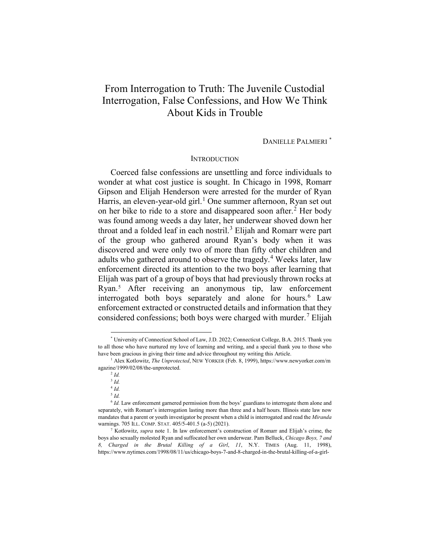# From Interrogation to Truth: The Juvenile Custodial Interrogation, False Confessions, and How We Think About Kids in Trouble

DANIELLE PALMIERI [\\*](#page-2-1)

### <span id="page-2-0"></span>**INTRODUCTION**

Coerced false confessions are unsettling and force individuals to wonder at what cost justice is sought. In Chicago in 1998, Romarr Gipson and Elijah Henderson were arrested for the murder of Ryan Harris, an eleven-year-old girl.<sup>[1](#page-2-2)</sup> One summer afternoon, Ryan set out on her bike to ride to a store and disappeared soon after.<sup>[2](#page-2-3)</sup> Her body was found among weeds a day later, her underwear shoved down her throat and a folded leaf in each nostril.<sup>[3](#page-2-4)</sup> Elijah and Romarr were part of the group who gathered around Ryan's body when it was discovered and were only two of more than fifty other children and adults who gathered around to observe the tragedy.<sup>[4](#page-2-5)</sup> Weeks later, law enforcement directed its attention to the two boys after learning that Elijah was part of a group of boys that had previously thrown rocks at Ryan.[5](#page-2-6) After receiving an anonymous tip, law enforcement interrogated both boys separately and alone for hours.<sup>[6](#page-2-7)</sup> Law enforcement extracted or constructed details and information that they considered confessions; both boys were charged with murder.<sup>[7](#page-2-8)</sup> Elijah

<span id="page-2-1"></span> <sup>\*</sup> University of Connecticut School of Law, J.D. 2022; Connecticut College, B.A. 2015. Thank you to all those who have nurtured my love of learning and writing, and a special thank you to those who have been gracious in giving their time and advice throughout my writing this Article.

<span id="page-2-4"></span><span id="page-2-3"></span><span id="page-2-2"></span><sup>1</sup> Alex Kotlowitz, *The Unprotected*, NEW YORKER (Feb. 8, 1999), https://www.newyorker.com/m agazine/1999/02/08/the-unprotected. 2 *Id.*

<sup>3</sup> *Id.*

<sup>4</sup> *Id.*

<sup>5</sup> *Id.*

<span id="page-2-7"></span><span id="page-2-6"></span><span id="page-2-5"></span><sup>&</sup>lt;sup>6</sup> *Id.* Law enforcement garnered permission from the boys' guardians to interrogate them alone and separately, with Romarr's interrogation lasting more than three and a half hours. Illinois state law now mandates that a parent or youth investigator be present when a child is interrogated and read the *Miranda*  warnings. 705 ILL. COMP. STAT. 405/5-401.5 (a-5) (2021).

<span id="page-2-8"></span><sup>7</sup> Kotlowitz, *supra* note [1.](#page-2-0) In law enforcement's construction of Romarr and Elijah's crime, the boys also sexually molested Ryan and suffocated her own underwear. Pam Belluck, *Chicago Boys, 7 and 8, Charged in the Brutal Killing of a Girl*, *11*, N.Y. TIMES (Aug. 11, 1998), https://www.nytimes.com/1998/08/11/us/chicago-boys-7-and-8-charged-in-the-brutal-killing-of-a-girl-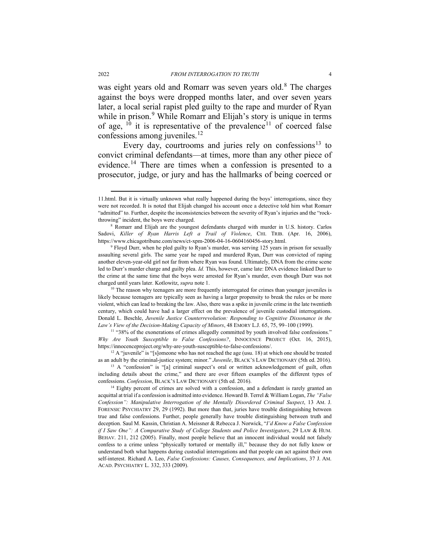was eight years old and Romarr was seven years old.<sup>[8](#page-3-0)</sup> The charges against the boys were dropped months later, and over seven years later, a local serial rapist pled guilty to the rape and murder of Ryan while in prison.<sup>[9](#page-3-1)</sup> While Romarr and Elijah's story is unique in terms of age,  $10$  it is representative of the prevalence<sup>[11](#page-3-3)</sup> of coerced false confessions among juveniles. $12$ 

<span id="page-3-8"></span><span id="page-3-7"></span>Every day, courtrooms and juries rely on confessions<sup>[13](#page-3-5)</sup> to convict criminal defendants—at times, more than any other piece of evidence.<sup>[14](#page-3-6)</sup> There are times when a confession is presented to a prosecutor, judge, or jury and has the hallmarks of being coerced or

 <sup>11.</sup>html. But it is virtually unknown what really happened during the boys' interrogations, since they were not recorded. It is noted that Elijah changed his account once a detective told him what Romarr "admitted" to. Further, despite the inconsistencies between the severity of Ryan's injuries and the "rockthrowing" incident, the boys were charged. 8 Romarr and Elijah are the youngest defendants charged with murder in U.S. history. Carlos

<span id="page-3-0"></span>Sadovi, Killer of Ryan Harris Left a Trail of Violence, CHI. TRIB. (Apr. 16, 2006), https://www.chicagotribune.com/news/ct-xpm-2006-04-16-0604160456-story.html. 9 Floyd Durr, when he pled guilty to Ryan's murder, was serving 125 years in prison for sexually

<span id="page-3-1"></span>assaulting several girls. The same year he raped and murdered Ryan, Durr was convicted of raping another eleven-year-old girl not far from where Ryan was found. Ultimately, DNA from the crime scene led to Durr's murder charge and guilty plea. *Id.* This, however, came late: DNA evidence linked Durr to the crime at the same time that the boys were arrested for Ryan's murder, even though Durr was not charged until years later. Kotlowitz, *supra* note [1.](#page-2-0)

<span id="page-3-2"></span> $10$  The reason why teenagers are more frequently interrogated for crimes than younger juveniles is likely because teenagers are typically seen as having a larger propensity to break the rules or be more violent, which can lead to breaking the law. Also, there was a spike in juvenile crime in the late twentieth century, which could have had a larger effect on the prevalence of juvenile custodial interrogations. Donald L. Beschle, *Juvenile Justice Counterrevolution: Responding to Cognitive Dissonance in the Law's View of the Decision-Making Capacity of Minors*, 48 EMORY L.J. 65, 75, 99–100 (1999).

<span id="page-3-3"></span><sup>&</sup>lt;sup>11</sup> "38% of the exonerations of crimes allegedly committed by youth involved false confessions." *Why Are Youth Susceptible to False Confessions?*, INNOCENCE PROJECT (Oct. 16, 2015), https://innocenceproject.org/why-are-youth-susceptible-to-false-confessions/.

<span id="page-3-4"></span> $12$  A "juvenile" is "[s]omeone who has not reached the age (usu. 18) at which one should be treated as an adult by the criminal-justice system; minor." *Juvenile*, BLACK'S LAW DICTIONARY (5th ed. 2016).

<span id="page-3-5"></span><sup>&</sup>lt;sup>13</sup> A "confession" is "[a] criminal suspect's oral or written acknowledgement of guilt, often including details about the crime," and there are over fifteen examples of the different types of confessions. *Confession*, BLACK'S LAW DICTIONARY (5th ed. 2016).

<span id="page-3-6"></span><sup>&</sup>lt;sup>14</sup> Eighty percent of crimes are solved with a confession, and a defendant is rarely granted an acquittal at trial if a confession is admitted into evidence. Howard B. Terrel & William Logan, *The "False Confession": Manipulative Interrogation of the Mentally Disordered Criminal Suspect*, 13 AM. J. FORENSIC PSYCHIATRY 29, 29 (1992). But more than that, juries have trouble distinguishing between true and false confessions. Further, people generally have trouble distinguishing between truth and deception. Saul M. Kassin, Christian A. Meissner & Rebecca J. Norwick, "*I'd Know a False Confession if I Saw One": A Comparative Study of College Students and Police Investigators*, 29 LAW & HUM. BEHAV. 211, 212 (2005). Finally, most people believe that an innocent individual would not falsely confess to a crime unless "physically tortured or mentally ill," because they do not fully know or understand both what happens during custodial interrogations and that people can act against their own self-interest. Richard A. Leo, *False Confessions: Causes, Consequences, and Implications*, 37 J. AM. ACAD. PSYCHIATRY L. 332, 333 (2009).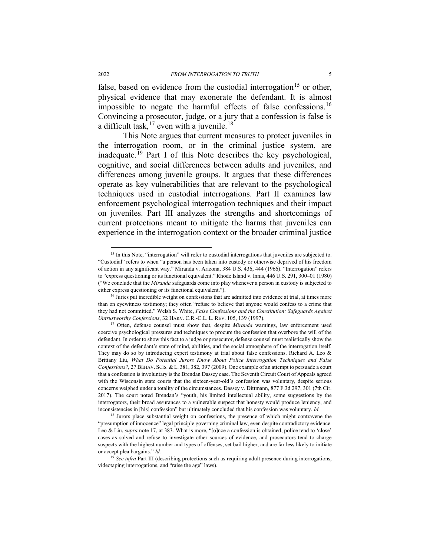false, based on evidence from the custodial interrogation<sup>[15](#page-4-1)</sup> or other, physical evidence that may exonerate the defendant. It is almost impossible to negate the harmful effects of false confessions.<sup>[16](#page-4-2)</sup> Convincing a prosecutor, judge, or a jury that a confession is false is a difficult task,  $17$  even with a juvenile.<sup>[18](#page-4-4)</sup>

<span id="page-4-6"></span><span id="page-4-0"></span>This Note argues that current measures to protect juveniles in the interrogation room, or in the criminal justice system, are inadequate.[19](#page-4-5) Part I of this Note describes the key psychological, cognitive, and social differences between adults and juveniles, and differences among juvenile groups. It argues that these differences operate as key vulnerabilities that are relevant to the psychological techniques used in custodial interrogations. Part II examines law enforcement psychological interrogation techniques and their impact on juveniles. Part III analyzes the strengths and shortcomings of current protections meant to mitigate the harms that juveniles can experience in the interrogation context or the broader criminal justice

<span id="page-4-1"></span><sup>&</sup>lt;sup>15</sup> In this Note, "interrogation" will refer to custodial interrogations that juveniles are subjected to. "Custodial" refers to when "a person has been taken into custody or otherwise deprived of his freedom of action in any significant way." Miranda v. Arizona, 384 U.S. 436, 444 (1966). "Interrogation" refers to "express questioning or its functional equivalent." Rhode Island v. Innis, 446 U.S. 291, 300–01 (1980) ("We conclude that the *Miranda* safeguards come into play whenever a person in custody is subjected to either express questioning or its functional equivalent.").

<span id="page-4-2"></span><sup>&</sup>lt;sup>16</sup> Juries put incredible weight on confessions that are admitted into evidence at trial, at times more than on eyewitness testimony; they often "refuse to believe that anyone would confess to a crime that they had not committed." Welsh S. White, *False Confessions and the Constitution: Safeguards Against Untrustworthy Confessions*, 32 HARV. C.R.-C.L. L. REV. 105, 139 (1997).

<span id="page-4-3"></span><sup>&</sup>lt;sup>17</sup> Often, defense counsel must show that, despite *Miranda* warnings, law enforcement used coercive psychological pressures and techniques to procure the confession that overbore the will of the defendant. In order to show this fact to a judge or prosecutor, defense counsel must realistically show the context of the defendant's state of mind, abilities, and the social atmosphere of the interrogation itself. They may do so by introducing expert testimony at trial about false confessions. Richard A. Leo & Brittany Liu, *What Do Potential Jurors Know About Police Interrogation Techniques and False Confessions?*, 27 BEHAV. SCIS. & L. 381, 382, 397 (2009). One example of an attempt to persuade a court that a confession is involuntary is the Brendan Dassey case. The Seventh Circuit Court of Appeals agreed with the Wisconsin state courts that the sixteen-year-old's confession was voluntary, despite serious concerns weighed under a totality of the circumstances. Dassey v. Dittmann, 877 F.3d 297, 301 (7th Cir. 2017). The court noted Brendan's "youth, his limited intellectual ability, some suggestions by the interrogators, their broad assurances to a vulnerable suspect that honesty would produce leniency, and inconsistencies in [his] confession" but ultimately concluded that his confession was voluntary. *Id.* 

<span id="page-4-4"></span><sup>&</sup>lt;sup>18</sup> Jurors place substantial weight on confessions, the presence of which might contravene the "presumption of innocence" legal principle governing criminal law, even despite contradictory evidence. Leo & Liu, *supra* not[e 17,](#page-4-0) at 383. What is more, "[o]nce a confession is obtained, police tend to 'close' cases as solved and refuse to investigate other sources of evidence, and prosecutors tend to charge suspects with the highest number and types of offenses, set bail higher, and are far less likely to initiate or accept plea bargains." *Id.* 

<span id="page-4-5"></span><sup>&</sup>lt;sup>19</sup> *See infra* Part III (describing protections such as requiring adult presence during interrogations, videotaping interrogations, and "raise the age" laws).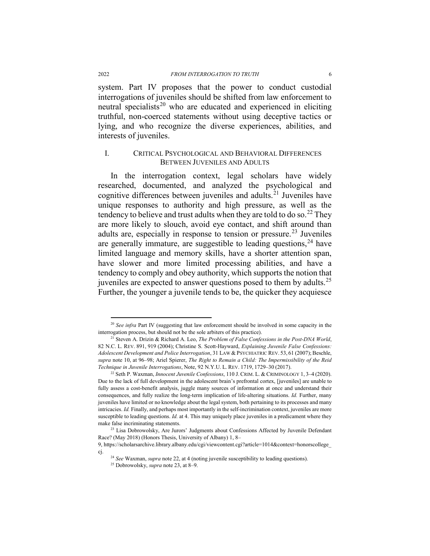system. Part IV proposes that the power to conduct custodial interrogations of juveniles should be shifted from law enforcement to neutral specialists<sup>[20](#page-5-2)</sup> who are educated and experienced in eliciting truthful, non-coerced statements without using deceptive tactics or lying, and who recognize the diverse experiences, abilities, and interests of juveniles.

### <span id="page-5-8"></span><span id="page-5-0"></span>I. CRITICAL PSYCHOLOGICAL AND BEHAVIORAL DIFFERENCES BETWEEN JUVENILES AND ADULTS

<span id="page-5-1"></span>In the interrogation context, legal scholars have widely researched, documented, and analyzed the psychological and cognitive differences between juveniles and adults. [21](#page-5-3) Juveniles have unique responses to authority and high pressure, as well as the tendency to believe and trust adults when they are told to do so.<sup>[22](#page-5-4)</sup> They are more likely to slouch, avoid eye contact, and shift around than adults are, especially in response to tension or pressure.<sup>[23](#page-5-5)</sup> Juveniles are generally immature, are suggestible to leading questions,<sup>[24](#page-5-6)</sup> have limited language and memory skills, have a shorter attention span, have slower and more limited processing abilities, and have a tendency to comply and obey authority, which supports the notion that juveniles are expected to answer questions posed to them by adults.<sup>[25](#page-5-7)</sup> Further, the younger a juvenile tends to be, the quicker they acquiesce

<span id="page-5-2"></span><sup>&</sup>lt;sup>20</sup> See infra Part [IV](#page-24-0) (suggesting that law enforcement should be involved in some capacity in the interrogation process, but should not be the sole arbiters of this practice).

<span id="page-5-3"></span><sup>21</sup> Steven A. Drizin & Richard A. Leo, *The Problem of False Confessions in the Post-DNA World*, 82 N.C. L. REV. 891, 919 (2004); Christine S. Scott-Hayward, *Explaining Juvenile False Confessions: Adolescent Development and Police Interrogation*, 31 LAW & PSYCHIATRIC REV. 53, 61 (2007); Beschle, *supra* note [10,](#page-3-7) at 96–98; Ariel Spierer, *The Right to Remain a Child: The Impermissibility of the Reid Technique in Juvenile Interrogations*, Note, 92 N.Y.U. L. REV. 1719, 1729–30 (2017).

<span id="page-5-4"></span><sup>22</sup> Seth P. Waxman, *Innocent Juvenile Confessions*, 110 J. CRIM. L. & CRIMINOLOGY 1, 3–4 (2020). Due to the lack of full development in the adolescent brain's prefrontal cortex, [juveniles] are unable to fully assess a cost-benefit analysis, juggle many sources of information at once and understand their consequences, and fully realize the long-term implication of life-altering situations. *Id.* Further, many juveniles have limited or no knowledge about the legal system, both pertaining to its processes and many intricacies. *Id.* Finally, and perhaps most importantly in the self-incrimination context, juveniles are more susceptible to leading questions. *Id.* at 4. This may uniquely place juveniles in a predicament where they make false incriminating statements.

<span id="page-5-5"></span><sup>&</sup>lt;sup>23</sup> Lisa Dobrowolsky, Are Jurors' Judgments about Confessions Affected by Juvenile Defendant Race? (May 2018) (Honors Thesis, University of Albany) 1, 8–

<span id="page-5-7"></span><span id="page-5-6"></span><sup>9,</sup> https://scholarsarchive.library.albany.edu/cgi/viewcontent.cgi?article=1014&context=honorscollege\_ cj. 24 *See* Waxman, *supra* not[e 22,](#page-5-0) at 4 (noting juvenile susceptibility to leading questions).

<sup>25</sup> Dobrowolsky, *supra* not[e 23,](#page-5-1) at 8–9.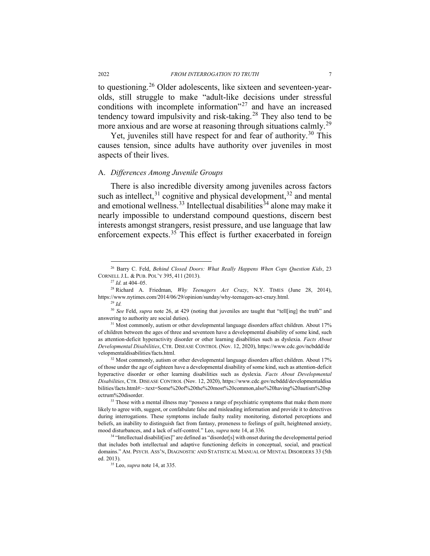<span id="page-6-0"></span>to questioning.<sup>[26](#page-6-1)</sup> Older adolescents, like sixteen and seventeen-yearolds, still struggle to make "adult-like decisions under stressful conditions with incomplete information"[27](#page-6-2) and have an increased tendency toward impulsivity and risk-taking.<sup>[28](#page-6-3)</sup> They also tend to be more anxious and are worse at reasoning through situations calmly.<sup>[29](#page-6-4)</sup>

Yet, juveniles still have respect for and fear of authority.<sup>[30](#page-6-5)</sup> This causes tension, since adults have authority over juveniles in most aspects of their lives.

#### A. *Differences Among Juvenile Groups*

There is also incredible diversity among juveniles across factors such as intellect,  $31$  cognitive and physical development,  $32$  and mental and emotional wellness.<sup>[33](#page-6-8)</sup> Intellectual disabilities<sup>[34](#page-6-9)</sup> alone may make it nearly impossible to understand compound questions, discern best interests amongst strangers, resist pressure, and use language that law enforcement expects.<sup>[35](#page-6-10)</sup> This effect is further exacerbated in foreign

<span id="page-6-1"></span> <sup>26</sup> Barry C. Feld, *Behind Closed Doors: What Really Happens When Cops Question Kids*, <sup>23</sup> CORNELL J.L. & PUB. POL'Y 395, 411 (2013).

<sup>27</sup> *Id.* at 404–05.

<span id="page-6-3"></span><span id="page-6-2"></span><sup>28</sup> Richard A. Friedman, *Why Teenagers Act Crazy*, N.Y. TIMES (June 28, 2014), https://www.nytimes.com/2014/06/29/opinion/sunday/why-teenagers-act-crazy.html.

<sup>29</sup> *Id.*

<span id="page-6-5"></span><span id="page-6-4"></span><sup>30</sup> *See* Feld, *supra* note [26,](#page-6-0) at 429 (noting that juveniles are taught that "tell[ing] the truth" and answering to authority are social duties). 31 Most commonly, autism or other developmental language disorders affect children. About 17%

<span id="page-6-6"></span>of children between the ages of three and seventeen have a developmental disability of some kind, such as attention-deficit hyperactivity disorder or other learning disabilities such as dyslexia. *Facts About Developmental Disabilities*, CTR. DISEASE CONTROL (Nov. 12, 2020), https://www.cdc.gov/ncbddd/de velopmentaldisabilities/facts.html.

<span id="page-6-7"></span><sup>&</sup>lt;sup>32</sup> Most commonly, autism or other developmental language disorders affect children. About 17% of those under the age of eighteen have a developmental disability of some kind, such as attention-deficit hyperactive disorder or other learning disabilities such as dyslexia. *Facts About Developmental Disabilities*, CTR. DISEASE CONTROL (Nov. 12, 2020), https://www.cdc.gov/ncbddd/developmentaldisa bilities/facts.html#:~:text=Some%20of%20the%20most%20common,also%20having%20autism%20sp ectrum%20disorder.

<span id="page-6-8"></span><sup>&</sup>lt;sup>33</sup> Those with a mental illness may "possess a range of psychiatric symptoms that make them more likely to agree with, suggest, or confabulate false and misleading information and provide it to detectives during interrogations. These symptoms include faulty reality monitoring, distorted perceptions and beliefs, an inability to distinguish fact from fantasy, proneness to feelings of guilt, heightened anxiety, mood disturbances, and a lack of self-control." Leo, *supra* not[e 14,](#page-3-8) at 336.

<span id="page-6-10"></span><span id="page-6-9"></span><sup>&</sup>lt;sup>34</sup> "Intellectual disabilit[ies]" are defined as "disorder[s] with onset during the developmental period that includes both intellectual and adaptive functioning deficits in conceptual, social, and practical domains." AM. PSYCH. ASS'N, DIAGNOSTIC AND STATISTICAL MANUAL OF MENTAL DISORDERS 33 (5th ed. 2013).

<sup>35</sup> Leo, *supra* not[e 14,](#page-3-8) at 335.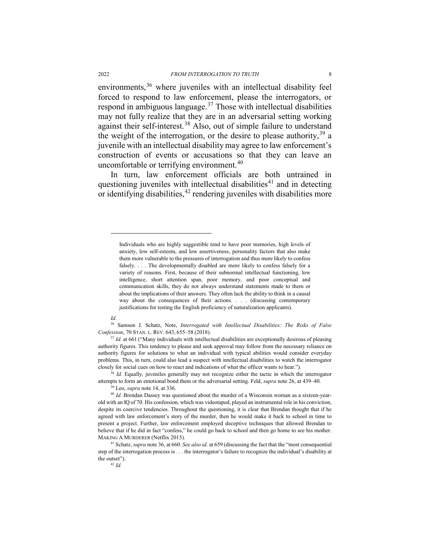environments,<sup>[36](#page-7-1)</sup> where juveniles with an intellectual disability feel forced to respond to law enforcement, please the interrogators, or respond in ambiguous language.<sup>[37](#page-7-2)</sup> Those with intellectual disabilities may not fully realize that they are in an adversarial setting working against their self-interest.<sup>[38](#page-7-3)</sup> Also, out of simple failure to understand the weight of the interrogation, or the desire to please authority,  $39$  a juvenile with an intellectual disability may agree to law enforcement's construction of events or accusations so that they can leave an uncomfortable or terrifying environment.<sup>[40](#page-7-5)</sup>

<span id="page-7-8"></span>In turn, law enforcement officials are both untrained in questioning juveniles with intellectual disabilities<sup>[41](#page-7-6)</sup> and in detecting or identifying disabilities, [42](#page-7-7) rendering juveniles with disabilities more

*Id.*

 $\overline{a}$ 

<span id="page-7-0"></span>

Individuals who are highly suggestible tend to have poor memories, high levels of anxiety, low self-esteem, and low assertiveness, personality factors that also make them more vulnerable to the pressures of interrogation and thus more likely to confess falsely. . . . The developmentally disabled are more likely to confess falsely for a variety of reasons. First, because of their subnormal intellectual functioning, low intelligence, short attention span, poor memory, and poor conceptual and communication skills, they do not always understand statements made to them or about the implications of their answers. They often lack the ability to think in a causal way about the consequences of their actions. . . . (discussing contemporary justifications for testing the English proficiency of naturalization applicants).

<span id="page-7-1"></span><sup>36</sup> Samson J. Schatz, Note, *Interrogated with Intellectual Disabilities: The Risks of False Confession*, 70 STAN. L. REV. 643, 655–58 (2018).

<span id="page-7-2"></span><sup>&</sup>lt;sup>37</sup> *Id.* at 661 ("Many individuals with intellectual disabilities are exceptionally desirous of pleasing authority figures. This tendency to please and seek approval may follow from the necessary reliance on authority figures for solutions to what an individual with typical abilities would consider everyday problems. This, in turn, could also lead a suspect with intellectual disabilities to watch the interrogator closely for social cues on how to react and indications of what the officer wants to hear.").

<span id="page-7-3"></span><sup>&</sup>lt;sup>38</sup> *Id.* Equally, juveniles generally may not recognize either the tactic in which the interrogator attempts to form an emotional bond them or the adversarial setting. Feld, *supra* not[e 26,](#page-6-0) at 439–40.

<sup>39</sup> Leo, *supra* not[e 14,](#page-3-8) at 336.

<span id="page-7-5"></span><span id="page-7-4"></span><sup>&</sup>lt;sup>40</sup> *Id.* Brendan Dassey was questioned about the murder of a Wisconsin woman as a sixteen-yearold with an IQ of 70. His confession, which was videotaped, played an instrumental role in his conviction, despite its coercive tendencies. Throughout the questioning, it is clear that Brendan thought that if he agreed with law enforcement's story of the murder, then he would make it back to school in time to present a project. Further, law enforcement employed deceptive techniques that allowed Brendan to believe that if he did in fact "confess," he could go back to school and then go home to see his mother. MAKING A MURDERER (Netflix 2015). 41 Schatz, *supra* not[e 36,](#page-7-0) at <sup>660</sup>*. See also id*. at 659 (discussing the fact that the "most consequential

<span id="page-7-7"></span><span id="page-7-6"></span>step of the interrogation process is . . . the interrogator's failure to recognize the individual's disability at the outset").<br> $42$  *Id.*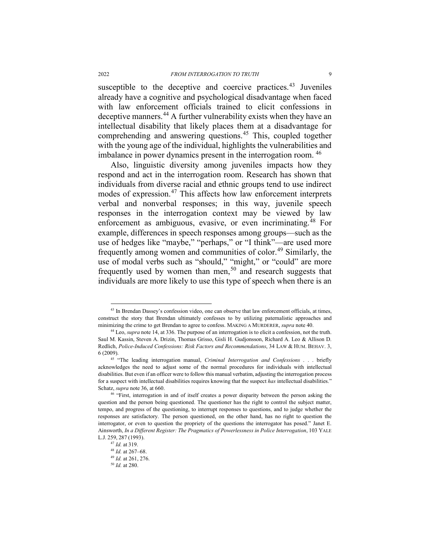<span id="page-8-8"></span>susceptible to the deceptive and coercive practices.<sup>[43](#page-8-0)</sup> Juveniles already have a cognitive and psychological disadvantage when faced with law enforcement officials trained to elicit confessions in deceptive manners.<sup>[44](#page-8-1)</sup> A further vulnerability exists when they have an intellectual disability that likely places them at a disadvantage for comprehending and answering questions.<sup>[45](#page-8-2)</sup> This, coupled together with the young age of the individual, highlights the vulnerabilities and imbalance in power dynamics present in the interrogation room. [46](#page-8-3)

Also, linguistic diversity among juveniles impacts how they respond and act in the interrogation room. Research has shown that individuals from diverse racial and ethnic groups tend to use indirect modes of expression.<sup>[47](#page-8-4)</sup> This affects how law enforcement interprets verbal and nonverbal responses; in this way, juvenile speech responses in the interrogation context may be viewed by law enforcement as ambiguous, evasive, or even incriminating.<sup>[48](#page-8-5)</sup> For example, differences in speech responses among groups—such as the use of hedges like "maybe," "perhaps," or "I think"—are used more frequently among women and communities of color.<sup>[49](#page-8-6)</sup> Similarly, the use of modal verbs such as "should," "might," or "could" are more frequently used by women than men,<sup>[50](#page-8-7)</sup> and research suggests that individuals are more likely to use this type of speech when there is an

<span id="page-8-0"></span><sup>&</sup>lt;sup>43</sup> In Brendan Dassey's confession video, one can observe that law enforcement officials, at times, construct the story that Brendan ultimately confesses to by utilizing paternalistic approaches and minimizing the crime to get Brendan to agree to confess. MAKING A MURDERER, *supra* note [40.](#page-7-8)

<span id="page-8-1"></span><sup>44</sup> Leo, *supra* not[e 14,](#page-3-8) at 336. The purpose of an interrogation is to elicit a confession, not the truth. Saul M. Kassin, Steven A. Drizin, Thomas Grisso, Gisli H. Gudjonsson, Richard A. Leo & Allison D. Redlich, *Police-Induced Confessions: Risk Factors and Recommendations*, 34 LAW & HUM. BEHAV. 3, 6 (2009).

<span id="page-8-2"></span><sup>45</sup> "The leading interrogation manual, *Criminal Interrogation and Confessions* . . . briefly acknowledges the need to adjust some of the normal procedures for individuals with intellectual disabilities. But even if an officer were to follow this manual verbatim, adjusting the interrogation process for a suspect with intellectual disabilities requires knowing that the suspect *has* intellectual disabilities." Schatz, *supra* not[e 36,](#page-7-0) at 660.<br><sup>46</sup> "First, interrogation in and of itself creates a power disparity between the person asking the

<span id="page-8-4"></span><span id="page-8-3"></span>question and the person being questioned. The questioner has the right to control the subject matter, tempo, and progress of the questioning, to interrupt responses to questions, and to judge whether the responses are satisfactory. The person questioned, on the other hand, has no right to question the interrogator, or even to question the propriety of the questions the interrogator has posed." Janet E. Ainsworth, *In a Different Register: The Pragmatics of Powerlessness in Police Interrogation*, 103 YALE L.J. 259, 287 (1993).

<sup>47</sup> *Id.* at 319.

<span id="page-8-5"></span><sup>48</sup> *Id.* at 267–68.

<span id="page-8-7"></span><span id="page-8-6"></span><sup>49</sup> *Id.* at 261, 276.

<sup>50</sup> *Id.* at 280.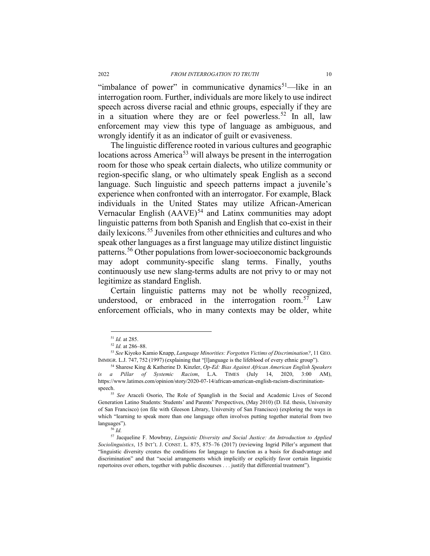"imbalance of power" in communicative dynamics $51$ —like in an interrogation room. Further, individuals are more likely to use indirect speech across diverse racial and ethnic groups, especially if they are in a situation where they are or feel powerless.<sup>[52](#page-9-1)</sup> In all, law enforcement may view this type of language as ambiguous, and wrongly identify it as an indicator of guilt or evasiveness.

The linguistic difference rooted in various cultures and geographic locations across America<sup>[53](#page-9-2)</sup> will always be present in the interrogation room for those who speak certain dialects, who utilize community or region-specific slang, or who ultimately speak English as a second language. Such linguistic and speech patterns impact a juvenile's experience when confronted with an interrogator. For example, Black individuals in the United States may utilize African-American Vernacular English  $(AAVE)^{54}$  $(AAVE)^{54}$  $(AAVE)^{54}$  and Latinx communities may adopt linguistic patterns from both Spanish and English that co-exist in their daily lexicons.<sup>[55](#page-9-4)</sup> Juveniles from other ethnicities and cultures and who speak other languages as a first language may utilize distinct linguistic patterns.[56](#page-9-5) Other populations from lower-socioeconomic backgrounds may adopt community-specific slang terms. Finally, youths continuously use new slang-terms adults are not privy to or may not legitimize as standard English.

<span id="page-9-8"></span>Certain linguistic patterns may not be wholly recognized, understood, or embraced in the interrogation room.<sup>[57](#page-9-6)</sup> Law enforcement officials, who in many contexts may be older, white

<span id="page-9-7"></span>

<sup>51</sup> *Id.* at 285. 52 *Id.* at 286–88.

<span id="page-9-2"></span><span id="page-9-1"></span><span id="page-9-0"></span><sup>53</sup> *See* Kiyoko Kamio Knapp, *Language Minorities: Forgotten Victims of Discrimination?*, 11 GEO. IMMIGR. L.J. 747, <sup>752</sup> (1997) (explaining that "[l]anguage is the lifeblood of every ethnic group"). 54 Sharese King & Katherine D. Kinzler, *Op-Ed: Bias Against African American English Speakers* 

<span id="page-9-3"></span>*is a Pillar of Systemic Racism*, L.A. TIMES (July 14, 2020, 3:00 AM), https://www.latimes.com/opinion/story/2020-07-14/african-american-english-racism-discriminationspeech. 55 *See* Araceli Osorio, The Role of Spanglish in the Social and Academic Lives of Second

<span id="page-9-4"></span>Generation Latino Students: Students' and Parents' Perspectives, (May 2010) (D. Ed. thesis, University of San Francisco) (on file with Gleeson Library, University of San Francisco) (exploring the ways in which "learning to speak more than one language often involves putting together material from two languages").

<sup>56</sup> *Id.*

<span id="page-9-6"></span><span id="page-9-5"></span><sup>57</sup> Jacqueline F. Mowbray, *Linguistic Diversity and Social Justice: An Introduction to Applied Sociolinguistics*, 15 INT'L J. CONST. L. 875, 875–76 (2017) (reviewing Ingrid Piller's argument that "linguistic diversity creates the conditions for language to function as a basis for disadvantage and discrimination" and that "social arrangements which implicitly or explicitly favor certain linguistic repertoires over others, together with public discourses . . . justify that differential treatment").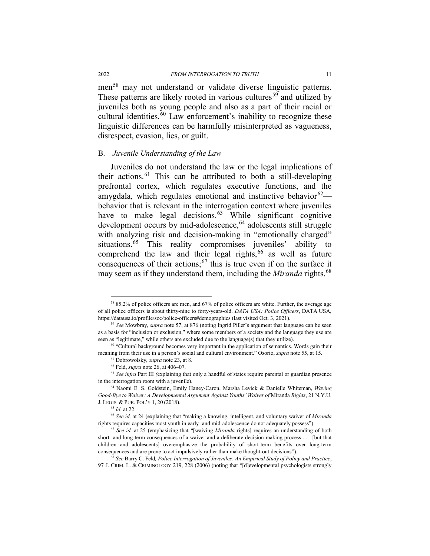men<sup>[58](#page-10-0)</sup> may not understand or validate diverse linguistic patterns. These patterns are likely rooted in various cultures<sup>[59](#page-10-1)</sup> and utilized by juveniles both as young people and also as a part of their racial or cultural identities.<sup>[60](#page-10-2)</sup> Law enforcement's inability to recognize these linguistic differences can be harmfully misinterpreted as vagueness, disrespect, evasion, lies, or guilt.

#### B. *Juvenile Understanding of the Law*

Juveniles do not understand the law or the legal implications of their actions.<sup>[61](#page-10-3)</sup> This can be attributed to both a still-developing prefrontal cortex, which regulates executive functions, and the amygdala, which regulates emotional and instinctive behavior  $62$  behavior that is relevant in the interrogation context where juveniles have to make legal decisions. $63$  While significant cognitive development occurs by mid-adolescence,  $64$  adolescents still struggle with analyzing risk and decision-making in "emotionally charged" situations.<sup>[65](#page-10-7)</sup> This reality compromises juveniles' ability to comprehend the law and their legal rights, $66$  as well as future consequences of their actions;  $67$  this is true even if on the surface it may seem as if they understand them, including the *Miranda* rights.<sup>[68](#page-10-10)</sup>

<span id="page-10-11"></span><span id="page-10-0"></span> <sup>58</sup> 85.2% of police officers are men, and 67% of police officers are white. Further, the average age of all police officers is about thirty-nine to forty-years-old. *DATA USA: Police Officers*, DATA USA, https://datausa.io/profile/soc/police-officers#demographics (last visited Oct. 3, 2021). 59 *See* Mowbray, *supra* not[e 57,](#page-9-7) at 876 (noting Ingrid Piller's argument that language can be seen

<span id="page-10-1"></span>as a basis for "inclusion or exclusion," where some members of a society and the language they use are seen as "legitimate," while others are excluded due to the language(s) that they utilize).<br><sup>60</sup> "Cultural background becomes very important in the application of semantics. Words gain their

<span id="page-10-3"></span><span id="page-10-2"></span>meaning from their use in a person's social and cultural environment." Osorio, *supra* not[e 55,](#page-9-8) at 15. 61 Dobrowolsky, *supra* not[e 23,](#page-5-1) at 8.

<sup>62</sup> Feld, *supra* not[e 26,](#page-6-0) at 406–07.

<span id="page-10-5"></span><span id="page-10-4"></span><sup>63</sup> *See infra* Part III *(*explaining that only a handful of states require parental or guardian presence in the interrogation room with a juvenile).

<span id="page-10-6"></span><sup>64</sup> Naomi E. S. Goldstein, Emily Haney-Caron, Marsha Levick & Danielle Whiteman, *Waving Good-Bye to Waiver: A Developmental Argument Against Youths' Waiver of* Miranda *Rights*, 21 N.Y.U. J. LEGIS. & PUB. POL'Y 1, 20 (2018).

<sup>65</sup> *Id.* at 22.

<span id="page-10-8"></span><span id="page-10-7"></span><sup>66</sup> *See id.* at 24 (explaining that "making a knowing, intelligent, and voluntary waiver of *Miranda*  rights requires capacities most youth in early- and mid-adolescence do not adequately possess"). 67 *See id.* at 25 (emphasizing that "[waiving *Miranda* rights] requires an understanding of both

<span id="page-10-9"></span>short- and long-term consequences of a waiver and a deliberate decision-making process . . . [but that children and adolescents] overemphasize the probability of short-term benefits over long-term consequences and are prone to act impulsively rather than make thought-out decisions"). 68 *See* Barry C. Feld*, Police Interrogation of Juveniles: An Empirical Study of Policy and Practice*,

<span id="page-10-10"></span><sup>97</sup> J. CRIM. L. & CRIMINOLOGY 219, 228 (2006) (noting that "[d]evelopmental psychologists strongly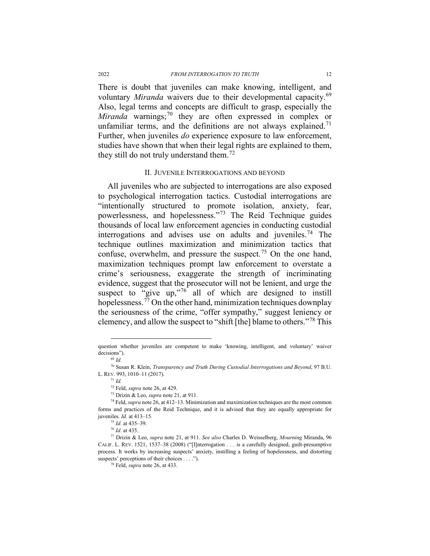There is doubt that juveniles can make knowing, intelligent, and voluntary *Miranda* waivers due to their developmental capacity.<sup>[69](#page-11-0)</sup> Also, legal terms and concepts are difficult to grasp, especially the *Miranda* warnings; [70](#page-11-1) they are often expressed in complex or unfamiliar terms, and the definitions are not always explained.<sup>[71](#page-11-2)</sup> Further, when juveniles *do* experience exposure to law enforcement, studies have shown that when their legal rights are explained to them, they still do not truly understand them.<sup>[72](#page-11-3)</sup>

#### II. JUVENILE INTERROGATIONS AND BEYOND

All juveniles who are subjected to interrogations are also exposed to psychological interrogation tactics. Custodial interrogations are "intentionally structured to promote isolation, anxiety, fear, powerlessness, and hopelessness."[73](#page-11-4) The Reid Technique guides thousands of local law enforcement agencies in conducting custodial interrogations and advises use on adults and juveniles.<sup>[74](#page-11-5)</sup> The technique outlines maximization and minimization tactics that confuse, overwhelm, and pressure the suspect.<sup>[75](#page-11-6)</sup> On the one hand, maximization techniques prompt law enforcement to overstate a crime's seriousness, exaggerate the strength of incriminating evidence, suggest that the prosecutor will not be lenient, and urge the suspect to "give up," $76$  all of which are designed to instill hopelessness.<sup> $\frac{7}{7}$ </sup> On the other hand, minimization techniques downplay the seriousness of the crime, "offer sympathy," suggest leniency or clemency, and allow the suspect to "shift [the] blame to others."[78](#page-11-9) This

question whether juveniles are competent to make 'knowing, intelligent, and voluntary' waiver decisions").

<sup>69</sup> *Id.* 

<span id="page-11-2"></span><span id="page-11-1"></span><span id="page-11-0"></span><sup>70</sup> Susan R. Klein, *Transparency and Truth During Custodial Interrogations and Beyond*, 97 B.U. L. REV. 993, 1010–11 (2017).

<sup>71</sup> *Id.* 

<sup>72</sup> Feld, *supra* not[e 26,](#page-6-0) at 429.

<sup>73</sup> Drizin & Leo, *supra* note [21,](#page-5-8) at 911.

<span id="page-11-5"></span><span id="page-11-4"></span><span id="page-11-3"></span><sup>74</sup> Feld, *supra* not[e 26,](#page-6-0) at 412–13. Minimization and maximization techniques are the most common forms and practices of the Reid Technique, and it is advised that they are equally appropriate for juveniles. *Id.* at 413–15.

<sup>75</sup> *Id.* at 435–39.

<sup>76</sup> *Id.* at 435.

<span id="page-11-9"></span><span id="page-11-8"></span><span id="page-11-7"></span><span id="page-11-6"></span><sup>77</sup> Drizin & Leo, *supra* not[e 21,](#page-5-8) at 911. *See also* Charles D. Weisselberg, *Mourning* Miranda, 96 CALIF. L. REV. 1521, 1537–38 (2008) ("[I]nterrogation . . . is a carefully designed, guilt-presumptive process. It works by increasing suspects' anxiety, instilling a feeling of hopelessness, and distorting suspects' perceptions of their choices . . . ."). 78 Feld, *supra* not[e 26,](#page-6-0) at 433.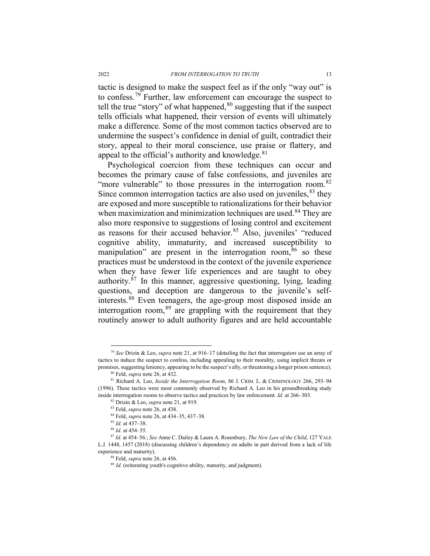tactic is designed to make the suspect feel as if the only "way out" is to confess.[79](#page-12-0) Further, law enforcement can encourage the suspect to tell the true "story" of what happened,  $80$  suggesting that if the suspect tells officials what happened, their version of events will ultimately make a difference. Some of the most common tactics observed are to undermine the suspect's confidence in denial of guilt, contradict their story, appeal to their moral conscience, use praise or flattery, and appeal to the official's authority and knowledge.  $81$ 

<span id="page-12-11"></span>Psychological coercion from these techniques can occur and becomes the primary cause of false confessions, and juveniles are "more vulnerable" to those pressures in the interrogation room.<sup>[82](#page-12-3)</sup> Since common interrogation tactics are also used on juveniles,  $83$  they are exposed and more susceptible to rationalizations for their behavior when maximization and minimization techniques are used.<sup>[84](#page-12-5)</sup> They are also more responsive to suggestions of losing control and excitement as reasons for their accused behavior.<sup>[85](#page-12-6)</sup> Also, juveniles' "reduced cognitive ability, immaturity, and increased susceptibility to manipulation" are present in the interrogation room,  $86$  so these practices must be understood in the context of the juvenile experience when they have fewer life experiences and are taught to obey authority.[87](#page-12-8) In this manner, aggressive questioning, lying, leading questions, and deception are dangerous to the juvenile's selfinterests. [88](#page-12-9) Even teenagers, the age-group most disposed inside an interrogation room,  $89$  are grappling with the requirement that they routinely answer to adult authority figures and are held accountable

<span id="page-12-0"></span> <sup>79</sup> *See* Drizin & Leo, *supra* not[e 21,](#page-5-8) at 916–17 (detailing the fact that interrogators use an array of tactics to induce the suspect to confess, including appealing to their morality, using implicit threats or promises, suggesting leniency, appearing to be the suspect's ally, or threatening a longer prison sentence).<br><sup>80</sup> Feld, *supra* note 26, at 432.<br><sup>81</sup> Richard A. Leo, *Inside the Interrogation Room*, 86 J. CRIM. L. & CRIMIN

<span id="page-12-3"></span><span id="page-12-2"></span><span id="page-12-1"></span><sup>(1996).</sup> These tactics were most commonly observed by Richard A. Leo in his groundbreaking study inside interrogation rooms to observe tactics and practices by law enforcement. *Id.* at 266–303.

<sup>82</sup> Drizin & Leo, *supra* note [21,](#page-5-8) at 919.

<sup>83</sup> Feld, *supra* not[e 26,](#page-6-0) at 438.

<sup>84</sup> Feld, *supra* not[e 26,](#page-6-0) at 434–35, 437–38.

<sup>&</sup>lt;sup>85</sup> *Id.* at 437–38.<br><sup>86</sup> *Id.* at 454–55.

<span id="page-12-10"></span><span id="page-12-9"></span><span id="page-12-8"></span><span id="page-12-7"></span><span id="page-12-6"></span><span id="page-12-5"></span><span id="page-12-4"></span><sup>86</sup> *Id.* at 454–55. 87 *Id.* at 454–56.; *See* Anne C. Dailey & Laura A. Rosenbury, *The New Law of the Child*, 127 YALE L.J. 1448, 1457 (2018) (discussing children's dependency on adults in part derived from a lack of life experience and maturity).

<sup>88</sup> Feld, *supra* not[e 26,](#page-6-0) at 456.

<sup>&</sup>lt;sup>89</sup> *Id.* (reiterating youth's cognitive ability, maturity, and judgment).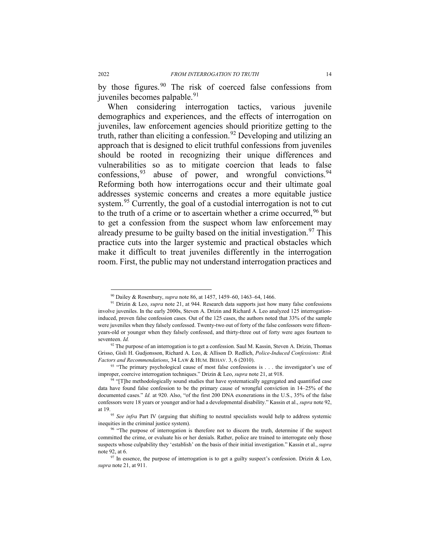<span id="page-13-9"></span>by those figures.<sup>[90](#page-13-1)</sup> The risk of coerced false confessions from juveniles becomes palpable.<sup>[91](#page-13-2)</sup>

<span id="page-13-0"></span>When considering interrogation tactics, various juvenile demographics and experiences, and the effects of interrogation on juveniles, law enforcement agencies should prioritize getting to the truth, rather than eliciting a confession.<sup>[92](#page-13-3)</sup> Developing and utilizing an approach that is designed to elicit truthful confessions from juveniles should be rooted in recognizing their unique differences and vulnerabilities so as to mitigate coercion that leads to false confessions,  $93$  abuse of power, and wrongful convictions.  $94$ Reforming both how interrogations occur and their ultimate goal addresses systemic concerns and creates a more equitable justice system.<sup>[95](#page-13-6)</sup> Currently, the goal of a custodial interrogation is not to cut to the truth of a crime or to ascertain whether a crime occurred,  $96$  but to get a confession from the suspect whom law enforcement may already presume to be guilty based on the initial investigation.<sup>[97](#page-13-8)</sup> This practice cuts into the larger systemic and practical obstacles which make it difficult to treat juveniles differently in the interrogation room. First, the public may not understand interrogation practices and

 <sup>90</sup> Dailey & Rosenbury, *supra* not[e 86,](#page-12-11) at 1457, 1459–60, 1463–64, 1466.

<span id="page-13-2"></span><span id="page-13-1"></span><sup>91</sup> Drizin & Leo, *supra* note [21,](#page-5-8) at 944. Research data supports just how many false confessions involve juveniles. In the early 2000s, Steven A. Drizin and Richard A. Leo analyzed 125 interrogationinduced, proven false confession cases. Out of the 125 cases, the authors noted that 33% of the sample were juveniles when they falsely confessed. Twenty-two out of forty of the false confessors were fifteenyears-old or younger when they falsely confessed, and thirty-three out of forty were ages fourteen to seventeen. *Id.*

<span id="page-13-3"></span><sup>92</sup> The purpose of an interrogation is to get a confession. Saul M. Kassin, Steven A. Drizin, Thomas Grisso, Gisli H. Gudjonsson, Richard A. Leo, & Allison D. Redlich, *Police-Induced Confessions: Risk Factors and Recommendations*, 34 LAW & HUM. BEHAV. 3, 6 (2010).

<span id="page-13-4"></span><sup>&</sup>lt;sup>93</sup> "The primary psychological cause of most false confessions is . . . the investigator's use of improper, coercive interrogation techniques." Drizin & Leo, *supra* note [21,](#page-5-8) at 918.<br><sup>94</sup> "[T]he methodologically sound studies that have systematically aggregated and quantified case

<span id="page-13-5"></span>data have found false confession to be the primary cause of wrongful conviction in 14–25% of the documented cases." *Id.* at 920. Also, "of the first 200 DNA exonerations in the U.S., 35% of the false confessors were 18 years or younger and/or had a developmental disability." Kassin et al., *supra* not[e 92,](#page-13-0) 

<span id="page-13-6"></span>at 19.<br><sup>95</sup> *See infra* Part [IV](#page-24-0) (arguing that shifting to neutral specialists would help to address systemic inequities in the criminal justice system).

<span id="page-13-7"></span><sup>&</sup>lt;sup>96</sup> "The purpose of interrogation is therefore not to discern the truth, determine if the suspect committed the crime, or evaluate his or her denials. Rather, police are trained to interrogate only those suspects whose culpability they 'establish' on the basis of their initial investigation." Kassin et al., *supra*  not[e 92,](#page-13-0) at 6.

<span id="page-13-8"></span> $97$  In essence, the purpose of interrogation is to get a guilty suspect's confession. Drizin & Leo, *supra* not[e 21,](#page-5-8) at 911.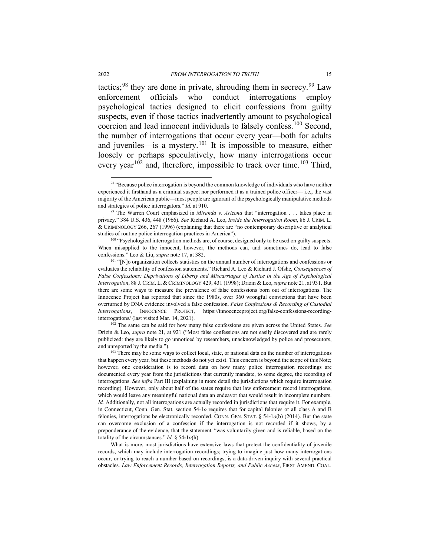tactics;<sup>[98](#page-14-0)</sup> they are done in private, shrouding them in secrecy.<sup>[99](#page-14-1)</sup> Law enforcement officials who conduct interrogations employ psychological tactics designed to elicit confessions from guilty suspects, even if those tactics inadvertently amount to psychological coercion and lead innocent individuals to falsely confess.<sup>[100](#page-14-2)</sup> Second, the number of interrogations that occur every year—both for adults and juveniles—is a mystery.[101](#page-14-3) It is impossible to measure, either loosely or perhaps speculatively, how many interrogations occur every year<sup>[102](#page-14-4)</sup> and, therefore, impossible to track over time.<sup>[103](#page-14-5)</sup> Third,

<span id="page-14-4"></span><sup>102</sup> The same can be said for how many false confessions are given across the United States. *See*  Drizin & Leo, *supra* not[e 21,](#page-5-8) at 921 ("Most false confessions are not easily discovered and are rarely publicized: they are likely to go unnoticed by researchers, unacknowledged by police and prosecutors, and unreported by the media.").<br><sup>103</sup> There may be some ways to collect local, state, or national data on the number of interrogations

<span id="page-14-0"></span><sup>98 &</sup>quot;Because police interrogation is beyond the common knowledge of individuals who have neither experienced it firsthand as a criminal suspect nor performed it as a trained police officer— i.e., the vast majority of the American public—most people are ignorant of the psychologically manipulative methods and strategies of police interrogators." *Id.* at 910.

<span id="page-14-1"></span><sup>&</sup>lt;sup>99</sup> The Warren Court emphasized in *Miranda v. Arizona* that "interrogation . . . takes place in privacy." 384 U.S. 436, 448 (1966). *See* Richard A. Leo, *Inside the Interrogation Room*, 86 J. CRIM. L. & CRIMINOLOGY 266, 267 (1996) (explaining that there are "no contemporary descriptive or analytical studies of routine police interrogation practices in America").<br><sup>100</sup> "Psychological interrogation methods are, of course, designed only to be used on guilty suspects.

<span id="page-14-2"></span>When misapplied to the innocent, however, the methods can, and sometimes do, lead to false confessions." Leo & Liu, *supra* not[e 17,](#page-4-0) at 382.<br><sup>101</sup> "[N]o organization collects statistics on the annual number of interrogations and confessions or

<span id="page-14-3"></span>evaluates the reliability of confession statements." Richard A. Leo & Richard J. Ofshe, *Consequences of False Confessions: Deprivations of Liberty and Miscarriages of Justice in the Age of Psychological Interrogation*, 88 J. CRIM. L. & CRIMINOLOGY 429, 431 (1998); Drizin & Leo, *supra* not[e 21,](#page-5-8) at 931. But there are some ways to measure the prevalence of false confessions born out of interrogations. The Innocence Project has reported that since the 1980s, over 360 wrongful convictions that have been overturned by DNA evidence involved a false confession. *False Confessions & Recording of Custodial Interrogations*, INNOCENCE PROJECT, https://innocenceproject.org/false-confessions-recordinginterrogations/ (last visited Mar. 14, 2021).

<span id="page-14-5"></span>that happen every year, but these methods do not yet exist. This concern is beyond the scope of this Note; however, one consideration is to record data on how many police interrogation recordings are documented every year from the jurisdictions that currently mandate, to some degree, the recording of interrogations. *See infra* Par[t III](#page-17-0) (explaining in more detail the jurisdictions which require interrogation recording). However, only about half of the states require that law enforcement record interrogations, which would leave any meaningful national data an endeavor that would result in incomplete numbers. *Id.* Additionally, not all interrogations are actually recorded in jurisdictions that require it. For example, in Connecticut, Conn. Gen. Stat. section 54-1*o* requires that for capital felonies or all class A and B felonies, interrogations be electronically recorded. CONN. GEN. STAT. § 54**-**1*o*(b) (2014). But the state can overcome exclusion of a confession if the interrogation is not recorded if it shows, by a preponderance of the evidence, that the statement *"*was voluntarily given and is reliable, based on the totality of the circumstances." *Id.* § 54**-**1*o*(h).

What is more, most jurisdictions have extensive laws that protect the confidentiality of juvenile records, which may include interrogation recordings; trying to imagine just how many interrogations occur, or trying to reach a number based on recordings, is a data-driven inquiry with several practical obstacles. *Law Enforcement Records, Interrogation Reports, and Public Access*, FIRST AMEND. COAL.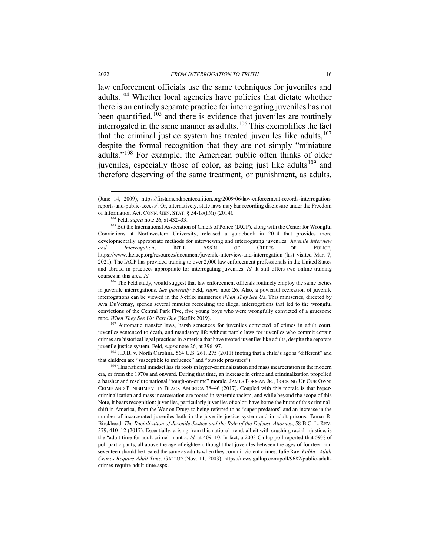law enforcement officials use the same techniques for juveniles and adults.[104](#page-15-0) Whether local agencies have policies that dictate whether there is an entirely separate practice for interrogating juveniles has not been quantified,  $105$  and there is evidence that juveniles are routinely interrogated in the same manner as adults.[106](#page-15-2) This exemplifies the fact that the criminal justice system has treated juveniles like adults, [107](#page-15-3) despite the formal recognition that they are not simply "miniature adults."[108](#page-15-4) For example, the American public often thinks of older juveniles, especially those of color, as being just like adults<sup>[109](#page-15-5)</sup> and therefore deserving of the same treatment, or punishment, as adults.

 <sup>(</sup>June 14, 2009), https://firstamendmentcoalition.org/2009/06/law-enforcement-records-interrogationreports-and-public-access/. Or, alternatively, state laws may bar recording disclosure under the Freedom of Information Act. CONN. GEN. STAT. § 54-1*o*(h)(i) (2014)*.*

<span id="page-15-6"></span><sup>104</sup> Feld, *supra* not[e 26,](#page-6-0) at 432–33.

<span id="page-15-1"></span><span id="page-15-0"></span><sup>&</sup>lt;sup>105</sup> But the International Association of Chiefs of Police (IACP), along with the Center for Wrongful Convictions at Northwestern University, released a guidebook in 2014 that provides more developmentally appropriate methods for interviewing and interrogating juveniles. *Juvenile Interview and Interrogation*, INT'L ASS'N OF CHIEFS OF POLICE, https://www.theiacp.org/resources/document/juvenile-interview-and-interrogation (last visited Mar. 7, 2021). The IACP has provided training to over 2,000 law enforcement professionals in the United States and abroad in practices appropriate for interrogating juveniles. *Id.* It still offers two online training courses in this area. *Id.*

<span id="page-15-2"></span><sup>&</sup>lt;sup>106</sup> The Feld study, would suggest that law enforcement officials routinely employ the same tactics in juvenile interrogations. *See generally* Feld, *supra* note [26.](#page-6-0) Also, a powerful recreation of juvenile interrogations can be viewed in the Netflix miniseries *When They See Us*. This miniseries, directed by Ava DuVernay, spends several minutes recreating the illegal interrogations that led to the wrongful convictions of the Central Park Five, five young boys who were wrongfully convicted of a gruesome rape. *When They See Us: Part One* (Netflix 2019).<br><sup>107</sup> Automatic transfer laws, harsh sentences for juveniles convicted of crimes in adult court,

<span id="page-15-3"></span>juveniles sentenced to death, and mandatory life without parole laws for juveniles who commit certain crimes are historical legal practices in America that have treated juveniles like adults, despite the separate juvenile justice system. Feld, *supra* note [26,](#page-6-0) at 396–97.

<span id="page-15-4"></span><sup>108</sup> J.D.B. v. North Carolina, 564 U.S. 261, 275 (2011) (noting that a child's age is "different" and that children are "susceptible to influence" and "outside pressures").

<span id="page-15-5"></span> $109$  This national mindset has its roots in hyper-criminalization and mass incarceration in the modern era, or from the 1970s and onward. During that time, an increase in crime and criminalization propelled a harsher and resolute national "tough-on-crime" morale. JAMES FORMAN JR., LOCKING UP OUR OWN: CRIME AND PUNISHMENT IN BLACK AMERICA 38–46 (2017). Coupled with this morale is that hypercriminalization and mass incarceration are rooted in systemic racism, and while beyond the scope of this Note, it bears recognition: juveniles, particularly juveniles of color, have borne the brunt of this criminalshift in America, from the War on Drugs to being referred to as "super-predators" and an increase in the number of incarcerated juveniles both in the juvenile justice system and in adult prisons. Tamar R. Birckhead, *The Racialization of Juvenile Justice and the Role of the Defense Attorney*, 58 B.C. L. REV. 379, 410–12 (2017). Essentially, arising from this national trend, albeit with crushing racial injustice, is the "adult time for adult crime" mantra. *Id.* at 409–10. In fact, a 2003 Gallup poll reported that 59% of poll participants, all above the age of eighteen, thought that juveniles between the ages of fourteen and seventeen should be treated the same as adults when they commit violent crimes. Julie Ray, *Public: Adult Crimes Require Adult Time*, GALLUP (Nov. 11, 2003), https://news.gallup.com/poll/9682/public-adultcrimes-require-adult-time.aspx.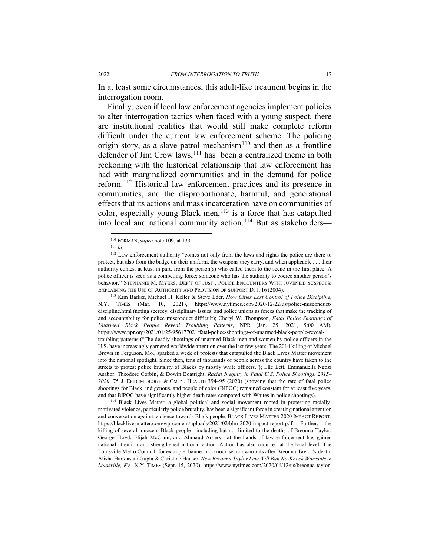In at least some circumstances, this adult-like treatment begins in the interrogation room.

Finally, even if local law enforcement agencies implement policies to alter interrogation tactics when faced with a young suspect, there are institutional realities that would still make complete reform difficult under the current law enforcement scheme. The policing origin story, as a slave patrol mechanism<sup>[110](#page-16-0)</sup> and then as a frontline defender of Jim Crow laws,  $^{111}$  $^{111}$  $^{111}$  has been a centralized theme in both reckoning with the historical relationship that law enforcement has had with marginalized communities and in the demand for police reform.[112](#page-16-2) Historical law enforcement practices and its presence in communities, and the disproportionate, harmful, and generational effects that its actions and mass incarceration have on communities of color, especially young Black men,  $113$  is a force that has catapulted into local and national community action.<sup>[114](#page-16-4)</sup> But as stakeholders—

<span id="page-16-3"></span>N.Y. TIMES (Mar. 10, 2021), https://www.nytimes.com/2020/12/22/us/police-misconductdiscipline.html (noting secrecy, disciplinary issues, and police unions as forces that make the tracking of and accountability for police misconduct difficult); Cheryl W. Thompson, *Fatal Police Shootings of Unarmed Black People Reveal Troubling Patterns*, NPR (Jan. 25, 2021, 5:00 AM), https://www.npr.org/2021/01/25/956177021/fatal-police-shootings-of-unarmed-black-people-revealtroubling-patterns ("The deadly shootings of unarmed Black men and women by police officers in the U.S. have increasingly garnered worldwide attention over the last few years. The 2014 killing of Michael Brown in Ferguson, Mo., sparked a week of protests that catapulted the Black Lives Matter movement into the national spotlight. Since then, tens of thousands of people across the country have taken to the streets to protest police brutality of Blacks by mostly white officers."); Elle Lett, Emmanuella Ngozi Asabor, Theodore Corbin, & Dowin Boatright, *Racial Inequity in Fatal U.S. Police Shootings*, *2015– 2020*, 75 J. EPIDEMIOLOGY & CMTY. HEALTH 394–95 (2020) (showing that the rate of fatal police shootings for Black, indigenous, and people of color (BIPOC) remained constant for at least five years, and that BIPOC have significantly higher death rates compared with Whites in police shootings).

<span id="page-16-4"></span><sup>114</sup> Black Lives Matter, a global political and social movement rooted in protesting raciallymotivated violence, particularly police brutality, has been a significant force in creating national attention and conversation against violence towards Black people. BLACK LIVES MATTER 2020 IMPACT REPORT, https://blacklivesmatter.com/wp-content/uploads/2021/02/blm-2020-impact-report.pdf. Further, the killing of several innocent Black people—including but not limited to the deaths of Breonna Taylor, George Floyd, Elijah McClain, and Ahmaud Arbery—at the hands of law enforcement has gained national attention and strengthened national action. Action has also occurred at the local level. The Louisville Metro Council, for example, banned no-knock search warrants after Breonna Taylor's death. Alisha Haridasani Gupta & Christine Hauser, *New Breonna Taylor Law Will Ban No-Knock Warrants in Louisville, Ky.*, N.Y. TIMES (Sept. 15, 2020), https://www.nytimes.com/2020/06/12/us/breonna-taylor-

<sup>110</sup> FORMAN, *supra* not[e 109,](#page-15-6) at 133. 111 *Id.* 

<span id="page-16-2"></span><span id="page-16-1"></span><span id="page-16-0"></span><sup>&</sup>lt;sup>112</sup> Law enforcement authority "comes not only from the laws and rights the police are there to protect, but also from the badge on their uniform, the weapons they carry, and when applicable . . . their authority comes, at least in part, from the person(s) who called them to the scene in the first place. A police officer is seen as a compelling force; someone who has the authority to coerce another person's behavior." STEPHANIE M. MYERS, DEP'T OF JUST., POLICE ENCOUNTERS WITH JUVENILE SUSPECTS: EXPLAINING THE USE OF AUTHORITY AND PROVISION OF SUPPORT DJ1, <sup>16</sup> (2004). 113 Kim Barker, Michael H. Keller & Steve Eder, *How Cities Lost Control of Police Discipline*,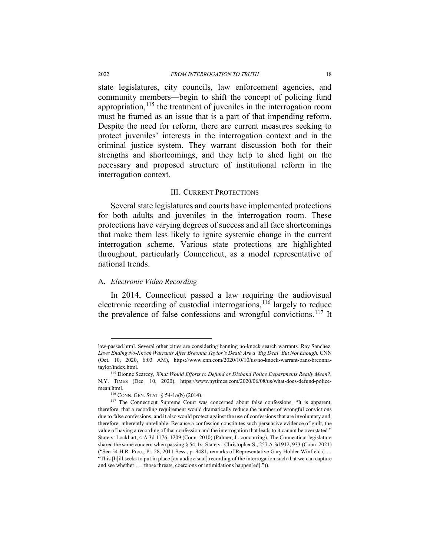state legislatures, city councils, law enforcement agencies, and community members—begin to shift the concept of policing fund appropriation, <sup>[115](#page-17-1)</sup> the treatment of juveniles in the interrogation room must be framed as an issue that is a part of that impending reform. Despite the need for reform, there are current measures seeking to protect juveniles' interests in the interrogation context and in the criminal justice system. They warrant discussion both for their strengths and shortcomings, and they help to shed light on the necessary and proposed structure of institutional reform in the interrogation context.

#### III. CURRENT PROTECTIONS

<span id="page-17-0"></span>Several state legislatures and courts have implemented protections for both adults and juveniles in the interrogation room. These protections have varying degrees of success and all face shortcomings that make them less likely to ignite systemic change in the current interrogation scheme. Various state protections are highlighted throughout, particularly Connecticut, as a model representative of national trends.

### A. *Electronic Video Recording*

In 2014, Connecticut passed a law requiring the audiovisual electronic recording of custodial interrogations, <sup>[116](#page-17-2)</sup> largely to reduce the prevalence of false confessions and wrongful convictions.<sup>[117](#page-17-3)</sup> It

law-passed.html. Several other cities are considering banning no-knock search warrants. Ray Sanchez, *Laws Ending No-Knock Warrants After Breonna Taylor's Death Are a 'Big Deal' But Not Enough,* CNN (Oct. 10, 2020, 6:03 AM), https://www.cnn.com/2020/10/10/us/no-knock-warrant-bans-breonnataylor/index.html.

<span id="page-17-1"></span><sup>115</sup> Dionne Searcey, *What Would Efforts to Defund or Disband Police Departments Really Mean?*, N.Y. TIMES (Dec. 10, 2020), https://www.nytimes.com/2020/06/08/us/what-does-defund-policemean.html.

<sup>116</sup> CONN. GEN. STAT. § 54-1*o*(b) (2014).

<span id="page-17-3"></span><span id="page-17-2"></span><sup>&</sup>lt;sup>117</sup> The Connecticut Supreme Court was concerned about false confessions. "It is apparent, therefore, that a recording requirement would dramatically reduce the number of wrongful convictions due to false confessions, and it also would protect against the use of confessions that are involuntary and, therefore, inherently unreliable. Because a confession constitutes such persuasive evidence of guilt, the value of having a recording of that confession and the interrogation that leads to it cannot be overstated." State v. Lockhart, 4 A.3d 1176, 1209 (Conn. 2010) (Palmer, J., concurring). The Connecticut legislature shared the same concern when passing § 54-1*o.* State v. Christopher S., 257 A.3d 912, 933 (Conn. 2021) ("See 54 H.R. Proc., Pt. 28, 2011 Sess., p. 9481, remarks of Representative Gary Holder-Winfield (. . . "This [b]ill seeks to put in place [an audiovisual] recording of the interrogation such that we can capture and see whether . . . those threats, coercions or intimidations happen[ed].")).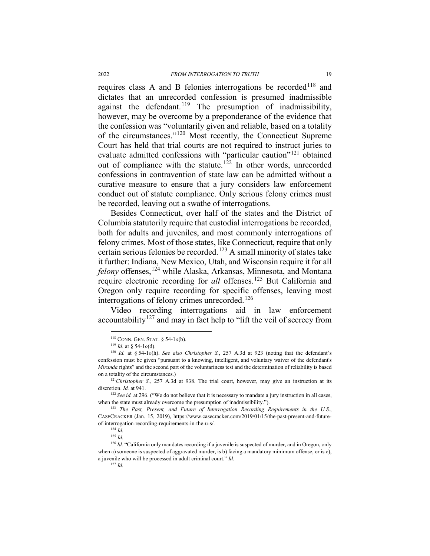requires class A and B felonies interrogations be recorded<sup>[118](#page-18-0)</sup> and dictates that an unrecorded confession is presumed inadmissible against the defendant.<sup>[119](#page-18-1)</sup> The presumption of inadmissibility, however, may be overcome by a preponderance of the evidence that the confession was "voluntarily given and reliable, based on a totality of the circumstances."[120](#page-18-2) Most recently, the Connecticut Supreme Court has held that trial courts are not required to instruct juries to evaluate admitted confessions with "particular caution"[121](#page-18-3) obtained out of compliance with the statute.<sup>[122](#page-18-4)</sup> In other words, unrecorded confessions in contravention of state law can be admitted without a curative measure to ensure that a jury considers law enforcement conduct out of statute compliance. Only serious felony crimes must be recorded, leaving out a swathe of interrogations.

Besides Connecticut, over half of the states and the District of Columbia statutorily require that custodial interrogations be recorded, both for adults and juveniles, and most commonly interrogations of felony crimes. Most of those states, like Connecticut, require that only certain serious felonies be recorded.[123](#page-18-5) A small minority of states take it further: Indiana, New Mexico, Utah, and Wisconsin require it for all *felony* offenses,<sup>[124](#page-18-6)</sup> while Alaska, Arkansas, Minnesota, and Montana require electronic recording for *all* offenses.<sup>[125](#page-18-7)</sup> But California and Oregon only require recording for specific offenses, leaving most interrogations of felony crimes unrecorded.<sup>126</sup>

Video recording interrogations aid in law enforcement accountability<sup>[127](#page-18-9)</sup> and may in fact help to "lift the veil of secrecy from

 <sup>118</sup> CONN. GEN. STAT. § 54-1*o*(b).

<sup>119</sup> *Id.* at § 54-1*o*(d).

<span id="page-18-2"></span><span id="page-18-1"></span><span id="page-18-0"></span><sup>120</sup> *Id.* at § 54-1*o*(h). *See also Christopher S.*, 257 A.3d at 923 (noting that the defendant's confession must be given "pursuant to a knowing, intelligent, and voluntary waiver of the defendant's *Miranda* rights" and the second part of the voluntariness test and the determination of reliability is based on a totality of the circumstances.)

<span id="page-18-3"></span><sup>&</sup>lt;sup>121</sup>Christopher S., 257 A.3d at 938. The trial court, however, may give an instruction at its discretion. *Id.* at 941.

<span id="page-18-4"></span><sup>&</sup>lt;sup>122</sup> *See id.* at 296. ("We do not believe that it is necessary to mandate a jury instruction in all cases, when the state must already overcome the presumption of inadmissibility.").

<span id="page-18-5"></span><sup>123</sup> *The Past, Present, and Future of Interrogation Recording Requirements in the U.S.*, CASECRACKER (Jan. 15, 2019), https://www.casecracker.com/2019/01/15/the-past-present-and-futureof-interrogation-recording-requirements-in-the-u-s/. 124 *Id.* 

 $125$  *Id.* 

<span id="page-18-9"></span><span id="page-18-8"></span><span id="page-18-7"></span><span id="page-18-6"></span><sup>&</sup>lt;sup>126</sup> *Id.* "California only mandates recording if a juvenile is suspected of murder, and in Oregon, only when a) someone is suspected of aggravated murder, is b) facing a mandatory minimum offense, or is c), a juvenile who will be processed in adult criminal court." *Id.* 

 $127$  *Id.*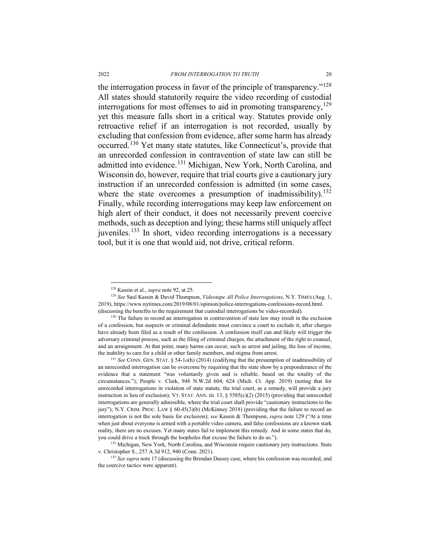<span id="page-19-0"></span>the interrogation process in favor of the principle of transparency."[128](#page-19-1) All states should statutorily require the video recording of custodial interrogations for most offenses to aid in promoting transparency,  $129$ yet this measure falls short in a critical way. Statutes provide only retroactive relief if an interrogation is not recorded, usually by excluding that confession from evidence, after some harm has already occurred.[130](#page-19-3) Yet many state statutes, like Connecticut's, provide that an unrecorded confession in contravention of state law can still be admitted into evidence.[131](#page-19-4) Michigan, New York, North Carolina, and Wisconsin do, however, require that trial courts give a cautionary jury instruction if an unrecorded confession is admitted (in some cases, where the state overcomes a presumption of inadmissibility).<sup>[132](#page-19-5)</sup> Finally, while recording interrogations may keep law enforcement on high alert of their conduct, it does not necessarily prevent coercive methods, such as deception and lying; these harms still uniquely affect juveniles.[133](#page-19-6) In short, video recording interrogations is a necessary tool, but it is one that would aid, not drive, critical reform.

 <sup>128</sup> Kassin et al., *supra* not[e 92,](#page-13-0) at 25.

<span id="page-19-2"></span><span id="page-19-1"></span><sup>129</sup> *See* Saul Kassin & David Thompson, *Videotape All Police Interrogations*, N.Y. TIMES (Aug. 1, 2019), https://www.nytimes.com/2019/08/01/opinion/police-interrogations-confessions-record.html. (discussing the benefits to the requirement that custodial interrogations be video-recorded).

<span id="page-19-3"></span><sup>&</sup>lt;sup>130</sup> The failure to record an interrogation in contravention of state law may result in the exclusion of a confession, but suspects or criminal defendants must convince a court to exclude it, after charges have already been filed as a result of the confession. A confession itself can and likely will trigger the adversary criminal process, such as the filing of criminal charges, the attachment of the right to counsel, and an arraignment. At that point, many harms can occur, such as arrest and jailing, the loss of income, the inability to care for a child or other family members, and stigma from arrest.<br><sup>131</sup> *See* CONN. GEN. STAT. § 54-1*o*(h) (2014) (codifying that the presumption of inadmissibility of

<span id="page-19-4"></span>an unrecorded interrogation can be overcome by requiring that the state show by a preponderance of the evidence that a statement "was voluntarily given and is reliable, based on the totality of the circumstances."); People v. Clark, 948 N.W.2d 604, 624 (Mich. Ct. App. 2019) (noting that for unrecorded interrogations in violation of state statute, the trial court, as a remedy, will provide a jury instruction in lieu of exclusion); VT. STAT. ANN. tit*.* 13, § 5585(c)(2) (2015) (providing that unrecorded interrogations are generally admissible, where the trial court shall provide "cautionary instructions to the jury"); N.Y. CRIM. PROC. LAW § 60.45(3)(b) (McKinney 2018) (providing that the failure to record an interrogation is not the sole basis for exclusion); *see* Kassin & Thompson, *supra* note [129](#page-19-0) ("At a time when just about everyone is armed with a portable video camera, and false confessions are a known stark reality, there are no excuses. Yet many states fail to implement this remedy. And in some states that do, you could drive a truck through the loopholes that excuse the failure to do so."). <sup>132</sup> Michigan, New York, North Carolina, and Wisconsin require cautionary jury instructions. State

<span id="page-19-5"></span>v. Christopher S., 257 A.3d 912, 940 (Conn. 2021).

<span id="page-19-6"></span><sup>&</sup>lt;sup>133</sup> *See supra* not[e 17](#page-4-0) (discussing the Brendan Dassey case, where his confession was recorded, and the coercive tactics were apparent).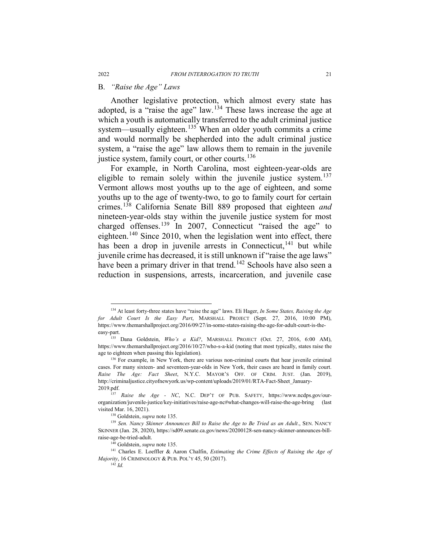## B. *"Raise the Age" Laws*

<span id="page-20-12"></span><span id="page-20-0"></span>Another legislative protection, which almost every state has adopted, is a "raise the age" law.<sup>[134](#page-20-1)</sup> These laws increase the age at which a youth is automatically transferred to the adult criminal justice system—usually eighteen.<sup>[135](#page-20-2)</sup> When an older youth commits a crime and would normally be shepherded into the adult criminal justice system, a "raise the age" law allows them to remain in the juvenile justice system, family court, or other courts. $136$ 

<span id="page-20-11"></span><span id="page-20-10"></span>For example, in North Carolina, most eighteen-year-olds are eligible to remain solely within the juvenile justice system.<sup>[137](#page-20-4)</sup> Vermont allows most youths up to the age of eighteen, and some youths up to the age of twenty-two, to go to family court for certain crimes.[138](#page-20-5) California Senate Bill 889 proposed that eighteen *and* nineteen-year-olds stay within the juvenile justice system for most charged offenses.[139](#page-20-6) In 2007, Connecticut "raised the age" to eighteen.<sup>[140](#page-20-7)</sup> Since 2010, when the legislation went into effect, there has been a drop in juvenile arrests in Connecticut,  $141$  but while juvenile crime has decreased, it is still unknown if "raise the age laws" have been a primary driver in that trend.<sup>[142](#page-20-9)</sup> Schools have also seen a reduction in suspensions, arrests, incarceration, and juvenile case

<span id="page-20-1"></span> <sup>134</sup> At least forty-three states have "raise the age" laws. Eli Hager, *In Some States, Raising the Age for Adult Court Is the Easy Part*, MARSHALL PROJECT (Sept. 27, 2016, 10:00 PM), https://www.themarshallproject.org/2016/09/27/in-some-states-raising-the-age-for-adult-court-is-theeasy-part.

<span id="page-20-2"></span><sup>&</sup>lt;sup>135</sup> Dana Goldstein, *Who's a Kid?*, MARSHALL PROJECT (Oct. 27, 2016, 6:00 AM), https://www.themarshallproject.org/2016/10/27/who-s-a-kid (noting that most typically, states raise the age to eighteen when passing this legislation).

<span id="page-20-3"></span><sup>&</sup>lt;sup>136</sup> For example, in New York, there are various non-criminal courts that hear juvenile criminal cases. For many sixteen- and seventeen-year-olds in New York, their cases are heard in family court. *Raise The Age: Fact Sheet*, N.Y.C. MAYOR'S OFF. OF CRIM. JUST. (Jan. 2019), http://criminaljustice.cityofnewyork.us/wp-content/uploads/2019/01/RTA-Fact-Sheet\_January-2019.pdf.

<span id="page-20-4"></span><sup>137</sup> *Raise the Age - NC*, N.C. DEP'T OF PUB. SAFETY, https://www.ncdps.gov/ourorganization/juvenile-justice/key-initiatives/raise-age-nc#what-changes-will-raise-the-age-bring (last visited Mar. 16, 2021). 138 Goldstein, *supra* not[e 135.](#page-20-0)

<span id="page-20-6"></span><span id="page-20-5"></span><sup>&</sup>lt;sup>139</sup> Sen. Nancy Skinner Announces Bill to Raise the Age to Be Tried as an Adult., SEN. NANCY SKINNER (Jan. 28, 2020), https://sd09.senate.ca.gov/news/20200128-sen-nancy-skinner-announces-billraise-age-be-tried-adult.

<sup>140</sup> Goldstein, *supra* note [135.](#page-20-0)

<span id="page-20-9"></span><span id="page-20-8"></span><span id="page-20-7"></span><sup>141</sup> Charles E. Loeffler & Aaron Chalfin, *Estimating the Crime Effects of Raising the Age of Majority*, 16 CRIMINOLOGY & PUB. POL'Y 45, 50 (2017).

<sup>142</sup> *Id.*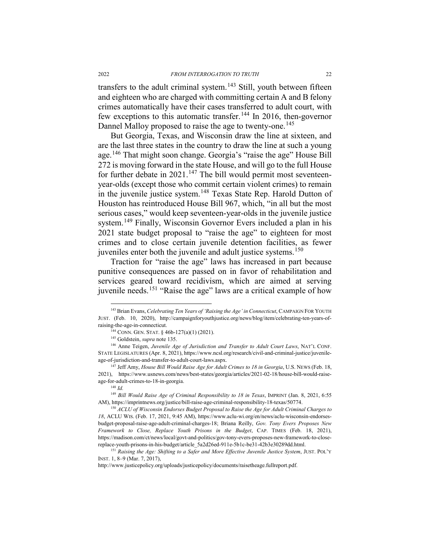transfers to the adult criminal system.<sup>[143](#page-21-0)</sup> Still, youth between fifteen and eighteen who are charged with committing certain A and B felony crimes automatically have their cases transferred to adult court, with few exceptions to this automatic transfer.<sup>[144](#page-21-1)</sup> In 2016, then-governor Dannel Malloy proposed to raise the age to twenty-one.<sup>[145](#page-21-2)</sup>

But Georgia, Texas, and Wisconsin draw the line at sixteen, and are the last three states in the country to draw the line at such a young age.[146](#page-21-3) That might soon change. Georgia's "raise the age" House Bill 272 is moving forward in the state House, and will go to the full House for further debate in  $2021$ .<sup>[147](#page-21-4)</sup> The bill would permit most seventeenyear-olds (except those who commit certain violent crimes) to remain in the juvenile justice system.<sup>[148](#page-21-5)</sup> Texas State Rep. Harold Dutton of Houston has reintroduced House Bill 967, which, "in all but the most serious cases," would keep seventeen-year-olds in the juvenile justice system.<sup>[149](#page-21-6)</sup> Finally, Wisconsin Governor Evers included a plan in his 2021 state budget proposal to "raise the age" to eighteen for most crimes and to close certain juvenile detention facilities, as fewer juveniles enter both the juvenile and adult justice systems.<sup>[150](#page-21-7)</sup>

<span id="page-21-9"></span>Traction for "raise the age" laws has increased in part because punitive consequences are passed on in favor of rehabilitation and services geared toward recidivism, which are aimed at serving juvenile needs.[151](#page-21-8) "Raise the age" laws are a critical example of how

<span id="page-21-0"></span><sup>&</sup>lt;sup>143</sup> Brian Evans, *Celebrating Ten Years of 'Raising the Age' in Connecticut*, CAMPAIGN FOR YOUTH JUST. (Feb. 10, 2020), http://campaignforyouthjustice.org/news/blog/item/celebrating-ten-years-ofraising-the-age-in-connecticut.

<sup>144</sup> CONN. GEN. STAT. § 46b-127(a)(1) (2021).

<sup>145</sup> Goldstein, *supra* not[e 135.](#page-20-0)

<span id="page-21-3"></span><span id="page-21-2"></span><span id="page-21-1"></span><sup>146</sup> Anne Teigen, *Juvenile Age of Jurisdiction and Transfer to Adult Court Laws*, NAT'L CONF. STATE LEGISLATURES (Apr. 8, 2021), https://www.ncsl.org/research/civil-and-criminal-justice/juvenileage-of-jurisdiction-and-transfer-to-adult-court-laws.aspx. 147 Jeff Amy, *House Bill Would Raise Age for Adult Crimes to 18 in Georgia*, U.S. NEWS (Feb. 18,

<span id="page-21-4"></span><sup>2021),</sup> https://www.usnews.com/news/best-states/georgia/articles/2021-02-18/house-bill-would-raiseage-for-adult-crimes-to-18-in-georgia.

 $148$  *Id.* 

<span id="page-21-6"></span><span id="page-21-5"></span><sup>&</sup>lt;sup>149</sup> Bill Would Raise Age of Criminal Responsibility to 18 in Texas, IMPRINT (Jan. 8, 2021, 6:55 AM), https://imprintnews.org/justice/bill-raise-age-criminal-responsibility-18-texas/50774. 150 *ACLU of Wisconsin Endorses Budget Proposal to Raise the Age for Adult Criminal Charges to* 

<span id="page-21-7"></span>*<sup>18</sup>*, ACLU WIS. (Feb. 17, 2021, 9:45 AM), https://www.aclu-wi.org/en/news/aclu-wisconsin-endorsesbudget-proposal-raise-age-adult-criminal-charges-18; Briana Reilly, *Gov. Tony Evers Proposes New Framework to Close, Replace Youth Prisons in the Budget*, CAP. TIMES (Feb. 18, 2021), https://madison.com/ct/news/local/govt-and-politics/gov-tony-evers-proposes-new-framework-to-close-

<span id="page-21-8"></span>replace-youth-prisons-in-his-budget/article\_5a2d26ed-911e-5b1c-be31-42b3e30289dd.html. 151 *Raising the Age: Shifting to a Safer and More Effective Juvenile Justice System*, JUST. POL'Y INST. 1, 8–9 (Mar. 7, 2017),

http://www.justicepolicy.org/uploads/justicepolicy/documents/raisetheage.fullreport.pdf.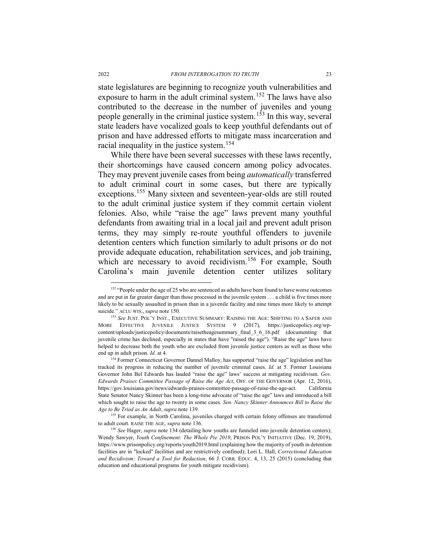state legislatures are beginning to recognize youth vulnerabilities and exposure to harm in the adult criminal system.[152](#page-22-0) The laws have also contributed to the decrease in the number of juveniles and young people generally in the criminal justice system.[153](#page-22-1) In this way, several state leaders have vocalized goals to keep youthful defendants out of prison and have addressed efforts to mitigate mass incarceration and racial inequality in the justice system.<sup>[154](#page-22-2)</sup>

While there have been several successes with these laws recently, their shortcomings have caused concern among policy advocates. They may prevent juvenile cases from being *automatically* transferred to adult criminal court in some cases, but there are typically exceptions.[155](#page-22-3) Many sixteen and seventeen-year-olds are still routed to the adult criminal justice system if they commit certain violent felonies. Also, while "raise the age" laws prevent many youthful defendants from awaiting trial in a local jail and prevent adult prison terms, they may simply re-route youthful offenders to juvenile detention centers which function similarly to adult prisons or do not provide adequate education, rehabilitation services, and job training, which are necessary to avoid recidivism.<sup>[156](#page-22-4)</sup> For example, South Carolina's main juvenile detention center utilizes solitary

<span id="page-22-5"></span><span id="page-22-0"></span><sup>&</sup>lt;sup>152</sup> "People under the age of 25 who are sentenced as adults have been found to have worse outcomes and are put in far greater danger than those processed in the juvenile system . . . a child is five times more likely to be sexually assaulted in prison than in a juvenile facility and nine times more likely to attempt suicide." ACLU WIS., *supra* note [150.](#page-21-9)

<span id="page-22-1"></span><sup>153</sup> *See* JUST. POL'Y INST., EXECUTIVE SUMMARY: RAISING THE AGE: SHIFTING TO A SAFER AND MORE EFFECTIVE JUVENILE JUSTICE SYSTEM 9 (2017), https://justicepolicy.org/wpcontent/uploads/justicepolicy/documents/raisetheagesummary\_final\_3\_6\_16.pdf (documenting that juvenile crime has declined, especially in states that have "raised the age"). "Raise the age" laws have helped to decrease both the youth who are excluded from juvenile justice centers as well as those who end up in adult prison. *Id.* at 4.

<span id="page-22-2"></span><sup>&</sup>lt;sup>154</sup> Former Connecticut Governor Dannel Malloy, has supported "raise the age" legislation and has tracked its progress in reducing the number of juvenile criminal cases. *Id.* at 5. Former Louisiana Governor John Bel Edwards has lauded "raise the age" laws' success at mitigating recidivism. *Gov. Edwards Praises Committee Passage of Raise the Age Act*, OFF. OF THE GOVERNOR (Apr. 12, 2016), https://gov.louisiana.gov/news/edwards-praises-committee-passage-of-raise-the-age-act. California State Senator Nancy Skinner has been a long-time advocate of "raise the age" laws and introduced a bill which sought to raise the age to twenty in some cases. *Sen. Nancy Skinner Announces Bill to Raise the Age to Be Tried as An Adult*, *supra* not[e 139.](#page-20-10)

<span id="page-22-3"></span><sup>&</sup>lt;sup>155</sup> For example, in North Carolina, juveniles charged with certain felony offenses are transferred to adult court. RAISE THE AGE, *supra* not[e 136.](#page-20-11)

<span id="page-22-4"></span><sup>156</sup> *See* Hager, *supra* not[e 134](#page-20-12) (detailing how youths are funneled into juvenile detention centers); Wendy Sawyer, *Youth Confinement: The Whole Pie 2019*, PRISON POL'Y INITIATIVE (Dec. 19, 2019), https://www.prisonpolicy.org/reports/youth2019.html (explaining how the majority of youth in detention facilities are in "locked" facilities and are restrictively confined); Lori L. Hall, *Correctional Education and Recidivism: Toward a Tool for Reduction*, 66 J. CORR. EDUC. 4, 13, 25 (2015) (concluding that education and educational programs for youth mitigate recidivism).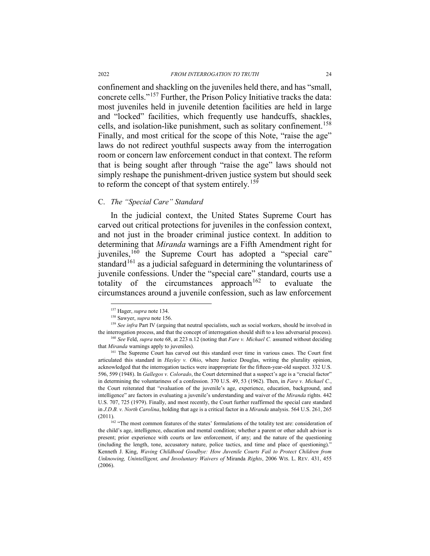confinement and shackling on the juveniles held there, and has "small, concrete cells."[157](#page-23-0) Further, the Prison Policy Initiative tracks the data: most juveniles held in juvenile detention facilities are held in large and "locked" facilities, which frequently use handcuffs, shackles, cells, and isolation-like punishment, such as solitary confinement.<sup>[158](#page-23-1)</sup> Finally, and most critical for the scope of this Note, "raise the age" laws do not redirect youthful suspects away from the interrogation room or concern law enforcement conduct in that context. The reform that is being sought after through "raise the age" laws should not simply reshape the punishment-driven justice system but should seek to reform the concept of that system entirely.<sup>[159](#page-23-2)</sup>

#### C. *The "Special Care" Standard*

In the judicial context, the United States Supreme Court has carved out critical protections for juveniles in the confession context, and not just in the broader criminal justice context. In addition to determining that *Miranda* warnings are a Fifth Amendment right for juveniles,<sup>[160](#page-23-3)</sup> the Supreme Court has adopted a "special care" standard<sup>[161](#page-23-4)</sup> as a judicial safeguard in determining the voluntariness of juvenile confessions. Under the "special care" standard, courts use a totality of the circumstances approach<sup>[162](#page-23-5)</sup> to evaluate the circumstances around a juvenile confession, such as law enforcement

 <sup>157</sup> Hager, *supra* not[e 134.](#page-20-12)

<sup>158</sup> Sawyer, *supra* not[e 156.](#page-22-5)

<span id="page-23-0"></span><sup>&</sup>lt;sup>159</sup> See infra Part IV (arguing that neutral specialists, such as social workers, should be involved in

<span id="page-23-3"></span><span id="page-23-2"></span><span id="page-23-1"></span>the interrogation process, and that the concept of interrogation should shift to a less adversarial process).<br><sup>160</sup> See Feld, supra not[e 68,](#page-10-11) at 223 n.12 (noting that Fare v. Michael C. assumed without deciding that *Miranda* warnings apply to juveniles).

<span id="page-23-4"></span><sup>&</sup>lt;sup>161</sup> The Supreme Court has carved out this standard over time in various cases. The Court first articulated this standard in *Hayley v. Ohio*, where Justice Douglas, writing the plurality opinion, acknowledged that the interrogation tactics were inappropriate for the fifteen-year-old suspect. 332 U.S. 596, 599 (1948). In *Gallegos v. Colorado*, the Court determined that a suspect's age is a "crucial factor" in determining the voluntariness of a confession. 370 U.S. 49, 53 (1962). Then, in *Fare v. Michael C.*, the Court reiterated that "evaluation of the juvenile's age, experience, education, background, and intelligence" are factors in evaluating a juvenile's understanding and waiver of the *Miranda* rights. 442 U.S. 707, 725 (1979). Finally, and most recently, the Court further reaffirmed the special care standard in *J.D.B. v. North Carolina*, holding that age is a critical factor in a *Miranda* analysis. 564 U.S. 261, 265 (2011).

<span id="page-23-5"></span><sup>&</sup>lt;sup>162</sup> "The most common features of the states' formulations of the totality test are: consideration of the child's age, intelligence, education and mental condition; whether a parent or other adult advisor is present; prior experience with courts or law enforcement, if any; and the nature of the questioning (including the length, tone, accusatory nature, police tactics, and time and place of questioning)." Kenneth J. King, *Waving Childhood Goodbye: How Juvenile Courts Fail to Protect Children from Unknowing, Unintelligent, and Involuntary Waivers of* Miranda *Rights*, 2006 WIS. L. REV. 431, 455 (2006).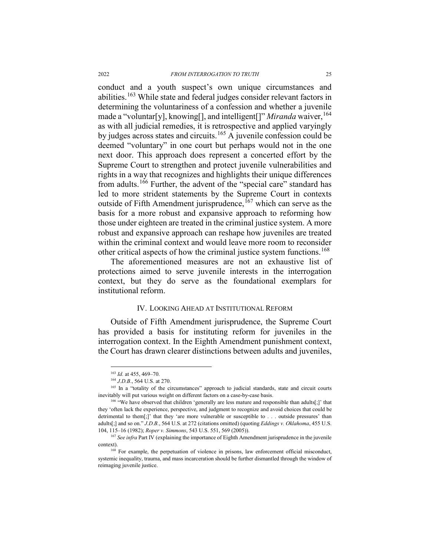conduct and a youth suspect's own unique circumstances and abilities.[163](#page-24-1) While state and federal judges consider relevant factors in determining the voluntariness of a confession and whether a juvenile made a "voluntar[y], knowing[], and intelligent[]" *Miranda* waiver, <sup>[164](#page-24-2)</sup> as with all judicial remedies, it is retrospective and applied varyingly by judges across states and circuits.<sup>[165](#page-24-3)</sup> A juvenile confession could be deemed "voluntary" in one court but perhaps would not in the one next door. This approach does represent a concerted effort by the Supreme Court to strengthen and protect juvenile vulnerabilities and rights in a way that recognizes and highlights their unique differences from adults.<sup>[166](#page-24-4)</sup> Further, the advent of the "special care" standard has led to more strident statements by the Supreme Court in contexts outside of Fifth Amendment jurisprudence,  $167$  which can serve as the basis for a more robust and expansive approach to reforming how those under eighteen are treated in the criminal justice system. A more robust and expansive approach can reshape how juveniles are treated within the criminal context and would leave more room to reconsider other critical aspects of how the criminal justice system functions.<sup>[168](#page-24-6)</sup>

The aforementioned measures are not an exhaustive list of protections aimed to serve juvenile interests in the interrogation context, but they do serve as the foundational exemplars for institutional reform.

### IV. LOOKING AHEAD AT INSTITUTIONAL REFORM

<span id="page-24-0"></span>Outside of Fifth Amendment jurisprudence, the Supreme Court has provided a basis for instituting reform for juveniles in the interrogation context. In the Eighth Amendment punishment context, the Court has drawn clearer distinctions between adults and juveniles,

<sup>&</sup>lt;sup>163</sup> *Id.* at 455, 469-70.

<sup>164</sup> *J.D.B*., 564 U.S. at 270.

<span id="page-24-3"></span><span id="page-24-2"></span><span id="page-24-1"></span><sup>&</sup>lt;sup>165</sup> In a "totality of the circumstances" approach to judicial standards, state and circuit courts inevitably will put various weight on different factors on a case-by-case basis.

<span id="page-24-4"></span><sup>&</sup>lt;sup>166</sup> "We have observed that children 'generally are less mature and responsible than adults[;]' that they 'often lack the experience, perspective, and judgment to recognize and avoid choices that could be detrimental to them[;]' that they 'are more vulnerable or susceptible to . . . outside pressures' than adults[;] and so on." *J.D.B.*, 564 U.S. at 272 (citations omitted) (quoting *Eddings v. Oklahoma*, 455 U.S. 104, 115–16 (1982); *Roper v. Simmons*, 543 U.S. 551, 569 (2005)). 167 *See infra* Part IV (explaining the importance of Eighth Amendment jurisprudence in the juvenile

<span id="page-24-5"></span>context).

<span id="page-24-6"></span><sup>&</sup>lt;sup>168</sup> For example, the perpetuation of violence in prisons, law enforcement official misconduct, systemic inequality, trauma, and mass incarceration should be further dismantled through the window of reimaging juvenile justice.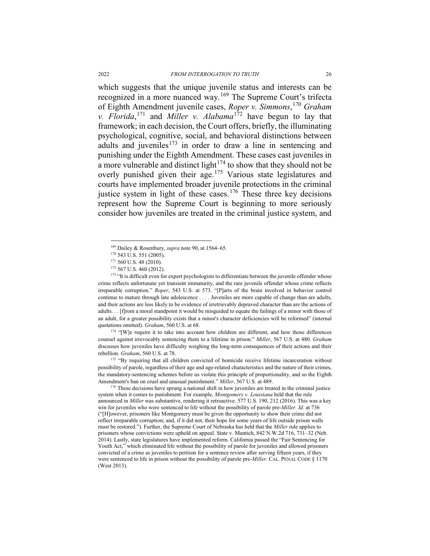which suggests that the unique juvenile status and interests can be recognized in a more nuanced way.[169](#page-25-0) The Supreme Court's trifecta of Eighth Amendment juvenile cases, *Roper v. Simmons*, [170](#page-25-1) *Graham v. Florida*, [171](#page-25-2) and *Miller v. Alabama*[172](#page-25-3) have begun to lay that framework; in each decision, the Court offers, briefly, the illuminating psychological, cognitive, social, and behavioral distinctions between adults and juveniles $173$  in order to draw a line in sentencing and punishing under the Eighth Amendment. These cases cast juveniles in a more vulnerable and distinct light<sup> $174$ </sup> to show that they should not be overly punished given their age.[175](#page-25-6) Various state legislatures and courts have implemented broader juvenile protections in the criminal justice system in light of these cases.<sup>[176](#page-25-7)</sup> These three key decisions represent how the Supreme Court is beginning to more seriously consider how juveniles are treated in the criminal justice system, and

<span id="page-25-4"></span><span id="page-25-3"></span><span id="page-25-2"></span><span id="page-25-1"></span><span id="page-25-0"></span><sup>173</sup> "It is difficult even for expert psychologists to differentiate between the juvenile offender whose crime reflects unfortunate yet transient immaturity, and the rare juvenile offender whose crime reflects irreparable corruption." *Roper*, 543 U.S. at 573. "[P]arts of the brain involved in behavior control continue to mature through late adolescence . . . . Juveniles are more capable of change than are adults, and their actions are less likely to be evidence of irretrievably depraved character than are the actions of adults. . . [f]rom a moral standpoint it would be misguided to equate the failings of a minor with those of an adult, for a greater possibility exists that a minor's character deficiencies will be reformed" (internal quotations omitted). *Graham*, 560 U.S. at 68. <sup>174</sup> "[W]e require it to take into account how children are different, and how those differences

<span id="page-25-5"></span>counsel against irrevocably sentencing them to a lifetime in prison." *Miller*, 567 U.S. at 480. *Graham*  discusses how juveniles have difficulty weighing the long-term consequences of their actions and their rebellion. *Graham*, 560 U.S. at 78.<br><sup>175</sup> "By requiring that all children convicted of homicide receive lifetime incarceration without

<span id="page-25-6"></span>possibility of parole, regardless of their age and age-related characteristics and the nature of their crimes, the mandatory-sentencing schemes before us violate this principle of proportionality, and so the Eighth Amendment's ban on cruel and unusual punishment." *Miller*, 567 U.S. at 489.

<span id="page-25-7"></span><sup>176</sup> These decisions have sprung a national shift in how juveniles are treated in the criminal justice system when it comes to punishment. For example, *Montgomery v. Louisiana* held that the rule announced in *Miller* was substantive, rendering it retroactive. 577 U.S. 190, 212 (2016). This was a key win for juveniles who were sentenced to life without the possibility of parole pre-*Miller. Id.* at 736 ("[H]owever, prisoners like Montgomery must be given the opportunity to show their crime did not reflect irreparable corruption; and, if it did not, their hope for some years of life outside prison walls must be restored."). Further, the Supreme Court of Nebraska has held that the *Miller* rule applies to prisoners whose convictions were upheld on appeal. State v. Mantich, 842 N.W.2d 716, 731–32 (Neb. 2014). Lastly, state legislatures have implemented reform. California passed the "Fair Sentencing for Youth Act," which eliminated life without the possibility of parole for juveniles and allowed prisoners convicted of a crime as juveniles to petition for a sentence review after serving fifteen years, if they were sentenced to life in prison without the possibility of parole pre-*Miller.* CAL. PENAL CODE § 1170 (West 2013).

 <sup>169</sup> Dailey & Rosenbury, *supra* not[e 90,](#page-13-9) at 1564–65.

<sup>170</sup> 543 U.S. 551 (2005).

 $^{171}$  560 U.S. 48 (2010).<br> $^{172}$  567 U.S. 460 (2012).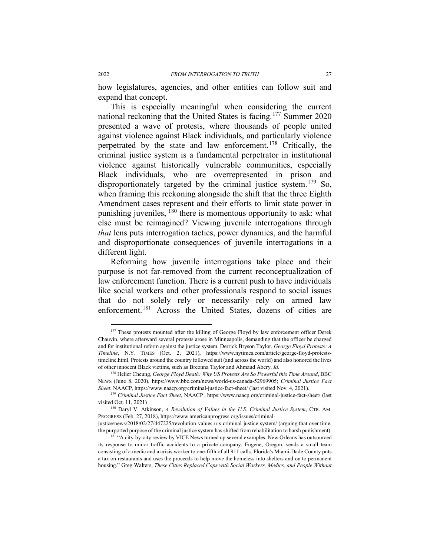how legislatures, agencies, and other entities can follow suit and expand that concept.

This is especially meaningful when considering the current national reckoning that the United States is facing.[177](#page-26-0) Summer 2020 presented a wave of protests, where thousands of people united against violence against Black individuals, and particularly violence perpetrated by the state and law enforcement.[178](#page-26-1) Critically, the criminal justice system is a fundamental perpetrator in institutional violence against historically vulnerable communities, especially Black individuals, who are overrepresented in prison and disproportionately targeted by the criminal justice system.<sup>[179](#page-26-2)</sup> So, when framing this reckoning alongside the shift that the three Eighth Amendment cases represent and their efforts to limit state power in punishing juveniles, <sup>[180](#page-26-3)</sup> there is momentous opportunity to ask: what else must be reimagined? Viewing juvenile interrogations through *that* lens puts interrogation tactics, power dynamics, and the harmful and disproportionate consequences of juvenile interrogations in a different light.

Reforming how juvenile interrogations take place and their purpose is not far-removed from the current reconceptualization of law enforcement function. There is a current push to have individuals like social workers and other professionals respond to social issues that do not solely rely or necessarily rely on armed law enforcement.<sup>[181](#page-26-4)</sup> Across the United States, dozens of cities are

<span id="page-26-0"></span><sup>&</sup>lt;sup>177</sup> These protests mounted after the killing of George Floyd by law enforcement officer Derek Chauvin, where afterward several protests arose in Minneapolis, demanding that the officer be charged and for institutional reform against the justice system. Derrick Bryson Taylor, *George Floyd Protests: A Timeline*, N.Y. TIMES (Oct. 2, 2021), https://www.nytimes.com/article/george-floyd-proteststimeline.html. Protests around the country followed suit (and across the world) and also honored the lives of other innocent Black victims, such as Breonna Taylor and Ahmaud Abery. *Id.* 

<span id="page-26-1"></span><sup>178</sup> Helier Cheung, *George Floyd Death: Why US Protests Are So Powerful this Time Around*, BBC NEWS (June 8, 2020), https://www.bbc.com/news/world-us-canada-52969905; *Criminal Justice Fact Sheet*, NAACP, https://www.naacp.org/criminal-justice-fact-sheet/ (last visited Nov. 4, 2021).

<span id="page-26-2"></span><sup>179</sup> *Criminal Justice Fact Sheet*, NAACP , https://www.naacp.org/criminal-justice-fact-sheet/ (last visited Oct. 11, 2021)

<span id="page-26-3"></span><sup>180</sup> Daryl V. Atkinson, *A Revolution of Values in the U.S. Criminal Justice System*, CTR. AM. PROGRESS (Feb. 27, 2018), https://www.americanprogress.org/issues/criminal-

justice/news/2018/02/27/447225/revolution-values-u-s-criminal-justice-system/ (arguing that over time, the purported purpose of the criminal justice system has shifted from rehabilitation to harsh punishment).

<span id="page-26-4"></span><sup>&</sup>lt;sup>181</sup> "A city-by-city review by VICE News turned up several examples. New Orleans has outsourced its response to minor traffic accidents to a private company. Eugene, Oregon, sends a small team consisting of a medic and a crisis worker to one-fifth of all 911 calls. Florida's Miami-Dade County puts a tax on restaurants and uses the proceeds to help move the homeless into shelters and on to permanent housing." Greg Walters, *These Cities Replaced Cops with Social Workers, Medics, and People Without*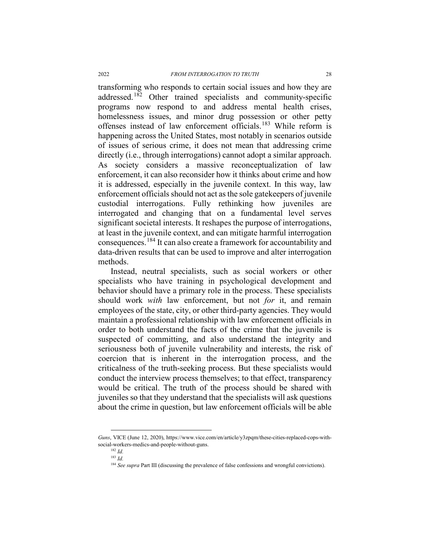transforming who responds to certain social issues and how they are addressed.<sup>[182](#page-27-0)</sup> Other trained specialists and community-specific programs now respond to and address mental health crises, homelessness issues, and minor drug possession or other petty offenses instead of law enforcement officials.[183](#page-27-1) While reform is happening across the United States, most notably in scenarios outside of issues of serious crime, it does not mean that addressing crime directly (i.e., through interrogations) cannot adopt a similar approach. As society considers a massive reconceptualization of law enforcement, it can also reconsider how it thinks about crime and how it is addressed, especially in the juvenile context. In this way, law enforcement officials should not act as the sole gatekeepers of juvenile custodial interrogations. Fully rethinking how juveniles are interrogated and changing that on a fundamental level serves significant societal interests. It reshapes the purpose of interrogations, at least in the juvenile context, and can mitigate harmful interrogation consequences.[184](#page-27-2) It can also create a framework for accountability and data-driven results that can be used to improve and alter interrogation methods.

Instead, neutral specialists, such as social workers or other specialists who have training in psychological development and behavior should have a primary role in the process. These specialists should work *with* law enforcement, but not *for* it, and remain employees of the state, city, or other third-party agencies. They would maintain a professional relationship with law enforcement officials in order to both understand the facts of the crime that the juvenile is suspected of committing, and also understand the integrity and seriousness both of juvenile vulnerability and interests, the risk of coercion that is inherent in the interrogation process, and the criticalness of the truth-seeking process. But these specialists would conduct the interview process themselves; to that effect, transparency would be critical. The truth of the process should be shared with juveniles so that they understand that the specialists will ask questions about the crime in question, but law enforcement officials will be able

 $\ddot{\phantom{a}}$ 

<span id="page-27-2"></span><span id="page-27-1"></span><span id="page-27-0"></span>*Guns*, VICE (June 12, 2020), https://www.vice.com/en/article/y3zpqm/these-cities-replaced-cops-withsocial-workers-medics-and-people-without-guns. 182 *Id.*

<sup>183</sup> *Id.*

<sup>&</sup>lt;sup>184</sup> *See supra* Part III (discussing the prevalence of false confessions and wrongful convictions).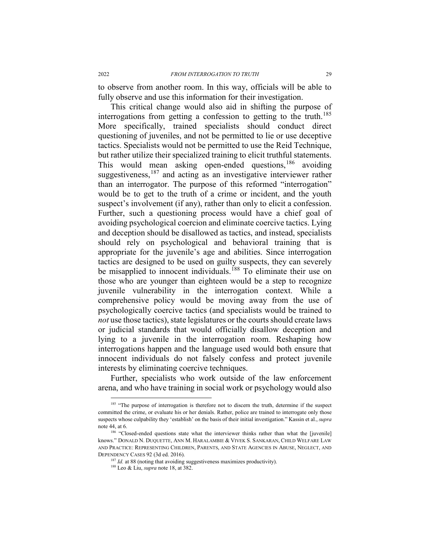to observe from another room. In this way, officials will be able to fully observe and use this information for their investigation.

This critical change would also aid in shifting the purpose of interrogations from getting a confession to getting to the truth.<sup>[185](#page-28-0)</sup> More specifically, trained specialists should conduct direct questioning of juveniles, and not be permitted to lie or use deceptive tactics. Specialists would not be permitted to use the Reid Technique, but rather utilize their specialized training to elicit truthful statements. This would mean asking open-ended questions,<sup>[186](#page-28-1)</sup> avoiding suggestiveness,<sup>[187](#page-28-2)</sup> and acting as an investigative interviewer rather than an interrogator. The purpose of this reformed "interrogation" would be to get to the truth of a crime or incident, and the youth suspect's involvement (if any), rather than only to elicit a confession. Further, such a questioning process would have a chief goal of avoiding psychological coercion and eliminate coercive tactics. Lying and deception should be disallowed as tactics, and instead, specialists should rely on psychological and behavioral training that is appropriate for the juvenile's age and abilities. Since interrogation tactics are designed to be used on guilty suspects, they can severely be misapplied to innocent individuals.<sup>[188](#page-28-3)</sup> To eliminate their use on those who are younger than eighteen would be a step to recognize juvenile vulnerability in the interrogation context. While a comprehensive policy would be moving away from the use of psychologically coercive tactics (and specialists would be trained to *not* use those tactics), state legislatures or the courts should create laws or judicial standards that would officially disallow deception and lying to a juvenile in the interrogation room. Reshaping how interrogations happen and the language used would both ensure that innocent individuals do not falsely confess and protect juvenile interests by eliminating coercive techniques.

Further, specialists who work outside of the law enforcement arena, and who have training in social work or psychology would also

<span id="page-28-0"></span><sup>&</sup>lt;sup>185</sup> "The purpose of interrogation is therefore not to discern the truth, determine if the suspect committed the crime, or evaluate his or her denials. Rather, police are trained to interrogate only those suspects whose culpability they 'establish' on the basis of their initial investigation." Kassin et al., *supra*  not[e 44,](#page-8-8) at 6.

<span id="page-28-3"></span><span id="page-28-2"></span><span id="page-28-1"></span><sup>&</sup>lt;sup>186</sup> "Closed-ended questions state what the interviewer thinks rather than what the [juvenile] knows." DONALD N. DUQUETTE, ANN M. HARALAMBIE & VIVEK S. SANKARAN, CHILD WELFARE LAW AND PRACTICE: REPRESENTING CHILDREN, PARENTS, AND STATE AGENCIES IN ABUSE, NEGLECT, AND DEPENDENCY CASES 92 (3d ed. 2016). 187 *Id.* at 88 (noting that avoiding suggestiveness maximizes productivity). 188 Leo & Liu, *supra* note [18,](#page-4-6) at 382.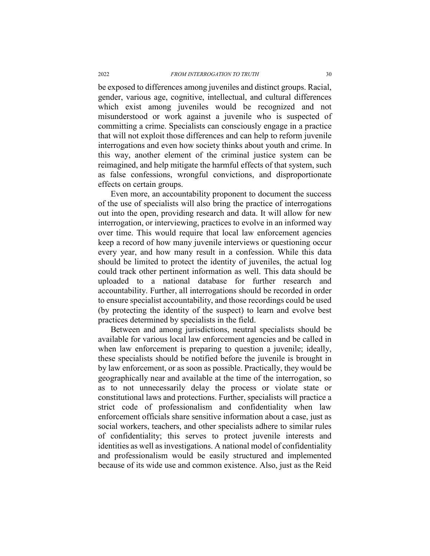be exposed to differences among juveniles and distinct groups. Racial, gender, various age, cognitive, intellectual, and cultural differences which exist among juveniles would be recognized and not misunderstood or work against a juvenile who is suspected of committing a crime. Specialists can consciously engage in a practice that will not exploit those differences and can help to reform juvenile interrogations and even how society thinks about youth and crime. In this way, another element of the criminal justice system can be reimagined, and help mitigate the harmful effects of that system, such as false confessions, wrongful convictions, and disproportionate effects on certain groups.

Even more, an accountability proponent to document the success of the use of specialists will also bring the practice of interrogations out into the open, providing research and data. It will allow for new interrogation, or interviewing, practices to evolve in an informed way over time. This would require that local law enforcement agencies keep a record of how many juvenile interviews or questioning occur every year, and how many result in a confession. While this data should be limited to protect the identity of juveniles, the actual log could track other pertinent information as well. This data should be uploaded to a national database for further research and accountability. Further, all interrogations should be recorded in order to ensure specialist accountability, and those recordings could be used (by protecting the identity of the suspect) to learn and evolve best practices determined by specialists in the field.

Between and among jurisdictions, neutral specialists should be available for various local law enforcement agencies and be called in when law enforcement is preparing to question a juvenile; ideally, these specialists should be notified before the juvenile is brought in by law enforcement, or as soon as possible. Practically, they would be geographically near and available at the time of the interrogation, so as to not unnecessarily delay the process or violate state or constitutional laws and protections. Further, specialists will practice a strict code of professionalism and confidentiality when law enforcement officials share sensitive information about a case, just as social workers, teachers, and other specialists adhere to similar rules of confidentiality; this serves to protect juvenile interests and identities as well as investigations. A national model of confidentiality and professionalism would be easily structured and implemented because of its wide use and common existence. Also, just as the Reid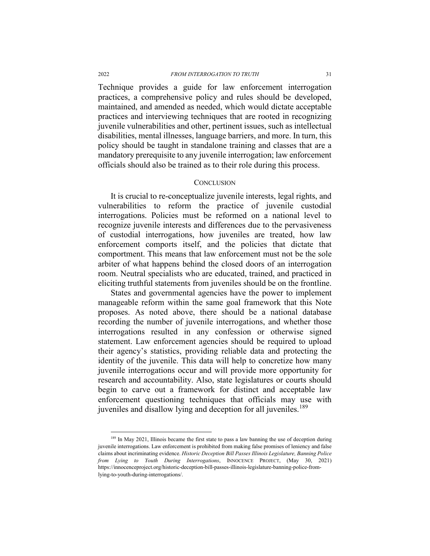Technique provides a guide for law enforcement interrogation practices, a comprehensive policy and rules should be developed, maintained, and amended as needed, which would dictate acceptable practices and interviewing techniques that are rooted in recognizing juvenile vulnerabilities and other, pertinent issues, such as intellectual disabilities, mental illnesses, language barriers, and more. In turn, this policy should be taught in standalone training and classes that are a mandatory prerequisite to any juvenile interrogation; law enforcement officials should also be trained as to their role during this process.

#### **CONCLUSION**

It is crucial to re-conceptualize juvenile interests, legal rights, and vulnerabilities to reform the practice of juvenile custodial interrogations. Policies must be reformed on a national level to recognize juvenile interests and differences due to the pervasiveness of custodial interrogations, how juveniles are treated, how law enforcement comports itself, and the policies that dictate that comportment. This means that law enforcement must not be the sole arbiter of what happens behind the closed doors of an interrogation room. Neutral specialists who are educated, trained, and practiced in eliciting truthful statements from juveniles should be on the frontline.

States and governmental agencies have the power to implement manageable reform within the same goal framework that this Note proposes. As noted above, there should be a national database recording the number of juvenile interrogations, and whether those interrogations resulted in any confession or otherwise signed statement. Law enforcement agencies should be required to upload their agency's statistics, providing reliable data and protecting the identity of the juvenile. This data will help to concretize how many juvenile interrogations occur and will provide more opportunity for research and accountability. Also, state legislatures or courts should begin to carve out a framework for distinct and acceptable law enforcement questioning techniques that officials may use with juveniles and disallow lying and deception for all juveniles.<sup>[189](#page-30-0)</sup>

<span id="page-30-0"></span><sup>&</sup>lt;sup>189</sup> In May 2021, Illinois became the first state to pass a law banning the use of deception during juvenile interrogations. Law enforcement is prohibited from making false promises of leniency and false claims about incriminating evidence. *Historic Deception Bill Passes Illinois Legislature, Banning Police from Lying to Youth During Interrogations*, INNOCENCE PROJECT, (May 30, 2021) https://innocenceproject.org/historic-deception-bill-passes-illinois-legislature-banning-police-fromlying-to-youth-during-interrogations/.